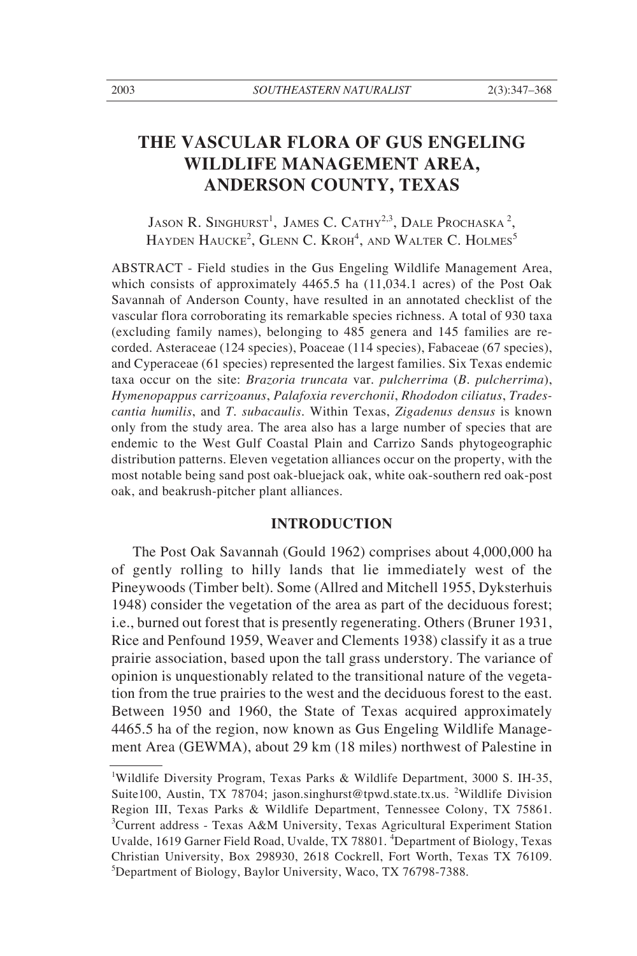# **THE VASCULAR FLORA OF GUS ENGELING WILDLIFE MANAGEMENT AREA, ANDERSON COUNTY, TEXAS**

JASON R. SINGHURST<sup>1</sup>, JAMES C. CATHY<sup>2,3</sup>, DALE PROCHASKA<sup>2</sup>, HAYDEN HAUCKE<sup>2</sup>, GLENN C. KROH<sup>4</sup>, AND WALTER C. HOLMES<sup>5</sup>

ABSTRACT - Field studies in the Gus Engeling Wildlife Management Area, which consists of approximately 4465.5 ha (11,034.1 acres) of the Post Oak Savannah of Anderson County, have resulted in an annotated checklist of the vascular flora corroborating its remarkable species richness. A total of 930 taxa (excluding family names), belonging to 485 genera and 145 families are recorded. Asteraceae (124 species), Poaceae (114 species), Fabaceae (67 species), and Cyperaceae (61 species) represented the largest families. Six Texas endemic taxa occur on the site: *Brazoria truncata* var. *pulcherrima* (*B*. *pulcherrima*), *Hymenopappus carrizoanus*, *Palafoxia reverchonii*, *Rhododon ciliatus*, *Tradescantia humilis*, and *T*. *subacaulis*. Within Texas, *Zigadenus densus* is known only from the study area. The area also has a large number of species that are endemic to the West Gulf Coastal Plain and Carrizo Sands phytogeographic distribution patterns. Eleven vegetation alliances occur on the property, with the most notable being sand post oak-bluejack oak, white oak-southern red oak-post oak, and beakrush-pitcher plant alliances.

#### **INTRODUCTION**

The Post Oak Savannah (Gould 1962) comprises about 4,000,000 ha of gently rolling to hilly lands that lie immediately west of the Pineywoods (Timber belt). Some (Allred and Mitchell 1955, Dyksterhuis 1948) consider the vegetation of the area as part of the deciduous forest; i.e., burned out forest that is presently regenerating. Others (Bruner 1931, Rice and Penfound 1959, Weaver and Clements 1938) classify it as a true prairie association, based upon the tall grass understory. The variance of opinion is unquestionably related to the transitional nature of the vegetation from the true prairies to the west and the deciduous forest to the east. Between 1950 and 1960, the State of Texas acquired approximately 4465.5 ha of the region, now known as Gus Engeling Wildlife Management Area (GEWMA), about 29 km (18 miles) northwest of Palestine in

<sup>&</sup>lt;sup>1</sup>Wildlife Diversity Program, Texas Parks & Wildlife Department, 3000 S. IH-35, Suite100, Austin, TX 78704; jason.singhurst@tpwd.state.tx.us. <sup>2</sup>Wildlife Division Region III, Texas Parks & Wildlife Department, Tennessee Colony, TX 75861. <sup>3</sup>Current address - Texas A&M University, Texas Agricultural Experiment Station Uvalde, 1619 Garner Field Road, Uvalde, TX 78801. 4 Department of Biology, Texas Christian University, Box 298930, 2618 Cockrell, Fort Worth, Texas TX 76109. 5 Department of Biology, Baylor University, Waco, TX 76798-7388.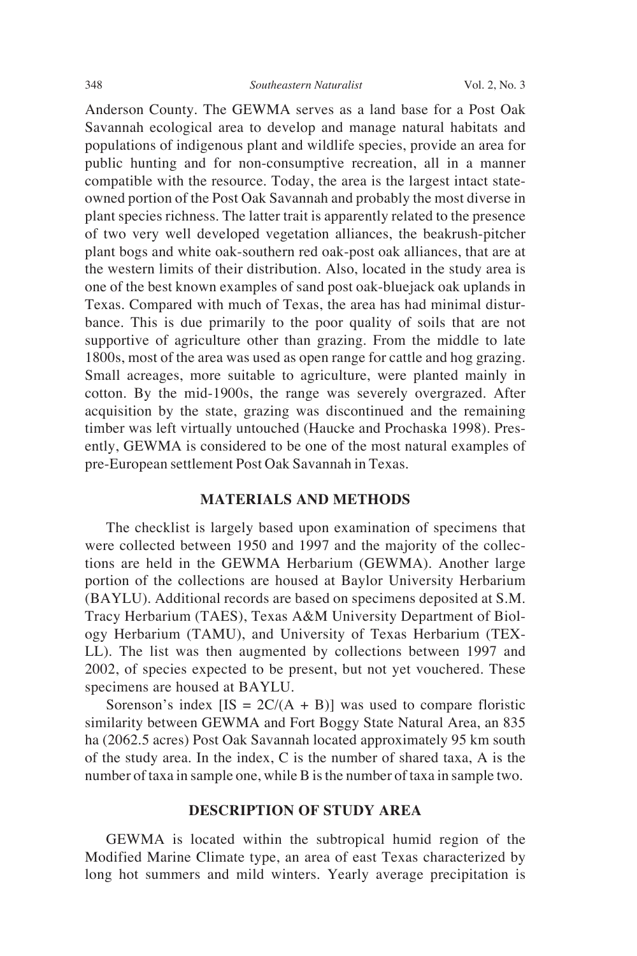#### 348 *Southeastern Naturalist* Vol. 2, No. 3

Anderson County. The GEWMA serves as a land base for a Post Oak Savannah ecological area to develop and manage natural habitats and populations of indigenous plant and wildlife species, provide an area for public hunting and for non-consumptive recreation, all in a manner compatible with the resource. Today, the area is the largest intact stateowned portion of the Post Oak Savannah and probably the most diverse in plant species richness. The latter trait is apparently related to the presence of two very well developed vegetation alliances, the beakrush-pitcher plant bogs and white oak-southern red oak-post oak alliances, that are at the western limits of their distribution. Also, located in the study area is one of the best known examples of sand post oak-bluejack oak uplands in Texas. Compared with much of Texas, the area has had minimal disturbance. This is due primarily to the poor quality of soils that are not supportive of agriculture other than grazing. From the middle to late 1800s, most of the area was used as open range for cattle and hog grazing. Small acreages, more suitable to agriculture, were planted mainly in cotton. By the mid-1900s, the range was severely overgrazed. After acquisition by the state, grazing was discontinued and the remaining timber was left virtually untouched (Haucke and Prochaska 1998). Presently, GEWMA is considered to be one of the most natural examples of pre-European settlement Post Oak Savannah in Texas.

# **MATERIALS AND METHODS**

The checklist is largely based upon examination of specimens that were collected between 1950 and 1997 and the majority of the collections are held in the GEWMA Herbarium (GEWMA). Another large portion of the collections are housed at Baylor University Herbarium (BAYLU). Additional records are based on specimens deposited at S.M. Tracy Herbarium (TAES), Texas A&M University Department of Biology Herbarium (TAMU), and University of Texas Herbarium (TEX-LL). The list was then augmented by collections between 1997 and 2002, of species expected to be present, but not yet vouchered. These specimens are housed at BAYLU.

Sorenson's index  $[IS = 2C/(A + B)]$  was used to compare floristic similarity between GEWMA and Fort Boggy State Natural Area, an 835 ha (2062.5 acres) Post Oak Savannah located approximately 95 km south of the study area. In the index, C is the number of shared taxa, A is the number of taxa in sample one, while B is the number of taxa in sample two.

#### **DESCRIPTION OF STUDY AREA**

GEWMA is located within the subtropical humid region of the Modified Marine Climate type, an area of east Texas characterized by long hot summers and mild winters. Yearly average precipitation is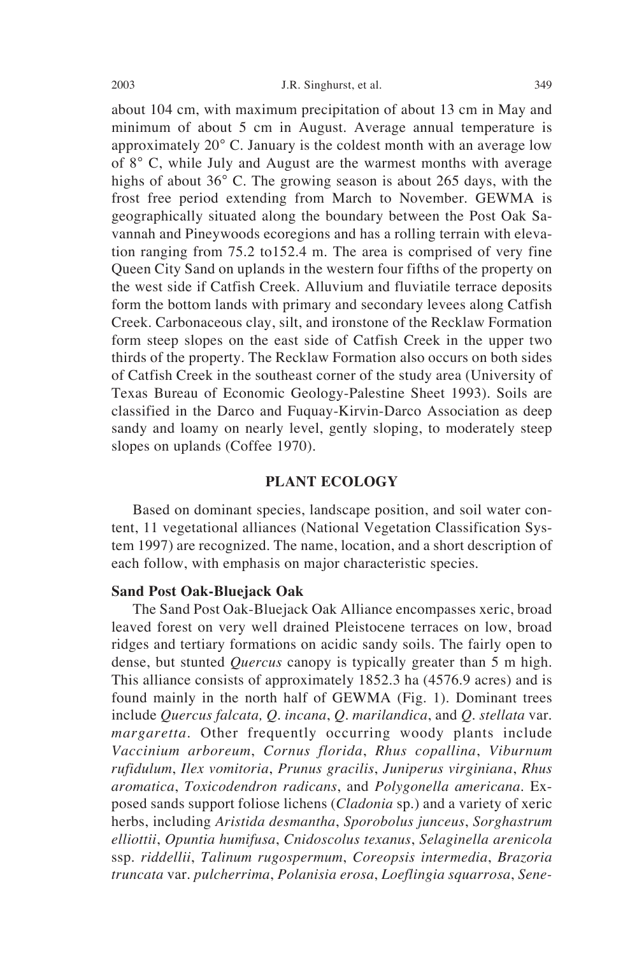about 104 cm, with maximum precipitation of about 13 cm in May and minimum of about 5 cm in August. Average annual temperature is approximately 20° C. January is the coldest month with an average low of 8° C, while July and August are the warmest months with average highs of about 36° C. The growing season is about 265 days, with the frost free period extending from March to November. GEWMA is geographically situated along the boundary between the Post Oak Savannah and Pineywoods ecoregions and has a rolling terrain with elevation ranging from 75.2 to152.4 m. The area is comprised of very fine Queen City Sand on uplands in the western four fifths of the property on the west side if Catfish Creek. Alluvium and fluviatile terrace deposits form the bottom lands with primary and secondary levees along Catfish Creek. Carbonaceous clay, silt, and ironstone of the Recklaw Formation form steep slopes on the east side of Catfish Creek in the upper two thirds of the property. The Recklaw Formation also occurs on both sides of Catfish Creek in the southeast corner of the study area (University of Texas Bureau of Economic Geology-Palestine Sheet 1993). Soils are classified in the Darco and Fuquay-Kirvin-Darco Association as deep sandy and loamy on nearly level, gently sloping, to moderately steep slopes on uplands (Coffee 1970).

#### **PLANT ECOLOGY**

Based on dominant species, landscape position, and soil water content, 11 vegetational alliances (National Vegetation Classification System 1997) are recognized. The name, location, and a short description of each follow, with emphasis on major characteristic species.

#### **Sand Post Oak-Bluejack Oak**

The Sand Post Oak-Bluejack Oak Alliance encompasses xeric, broad leaved forest on very well drained Pleistocene terraces on low, broad ridges and tertiary formations on acidic sandy soils. The fairly open to dense, but stunted *Quercus* canopy is typically greater than 5 m high. This alliance consists of approximately 1852.3 ha (4576.9 acres) and is found mainly in the north half of GEWMA (Fig. 1). Dominant trees include *Quercus falcata, Q*. *incana*, *Q*. *marilandica*, and *Q*. *stellata* var. *margaretta*. Other frequently occurring woody plants include *Vaccinium arboreum*, *Cornus florida*, *Rhus copallina*, *Viburnum rufidulum*, *Ilex vomitoria*, *Prunus gracilis*, *Juniperus virginiana*, *Rhus aromatica*, *Toxicodendron radicans*, and *Polygonella americana*. Exposed sands support foliose lichens (*Cladonia* sp.) and a variety of xeric herbs, including *Aristida desmantha*, *Sporobolus junceus*, *Sorghastrum elliottii*, *Opuntia humifusa*, *Cnidoscolus texanus*, *Selaginella arenicola* ssp. *riddellii*, *Talinum rugospermum*, *Coreopsis intermedia*, *Brazoria truncata* var. *pulcherrima*, *Polanisia erosa*, *Loeflingia squarrosa*, *Sene-*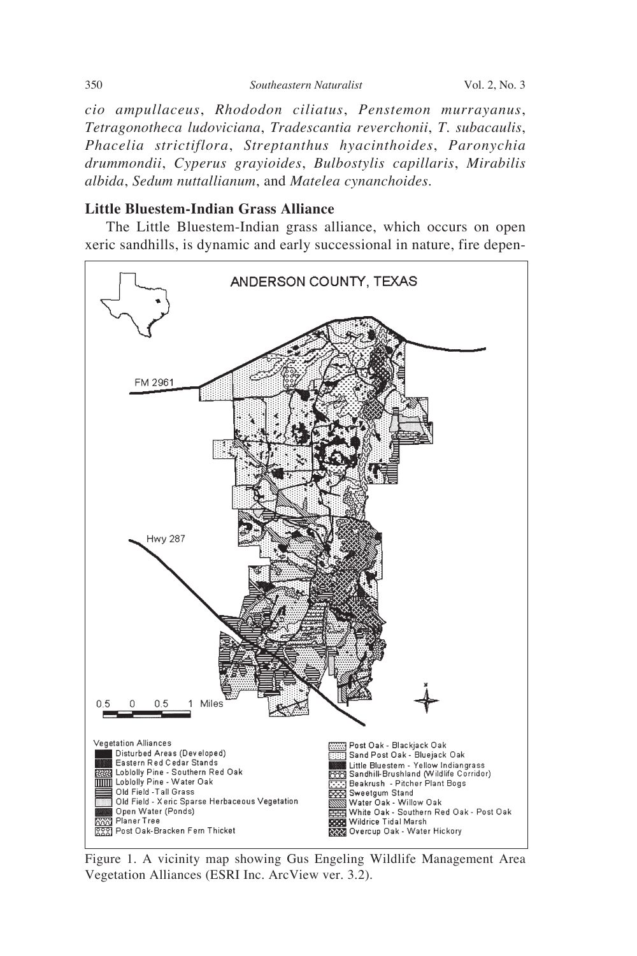*cio ampullaceus*, *Rhododon ciliatus*, *Penstemon murrayanus*, *Tetragonotheca ludoviciana*, *Tradescantia reverchonii*, *T*. *subacaulis*, *Phacelia strictiflora*, *Streptanthus hyacinthoides*, *Paronychia drummondii*, *Cyperus grayioides*, *Bulbostylis capillaris*, *Mirabilis albida*, *Sedum nuttallianum*, and *Matelea cynanchoides*.

# **Little Bluestem-Indian Grass Alliance**

The Little Bluestem-Indian grass alliance, which occurs on open xeric sandhills, is dynamic and early successional in nature, fire depen-



Figure 1. A vicinity map showing Gus Engeling Wildlife Management Area Vegetation Alliances (ESRI Inc. ArcView ver. 3.2).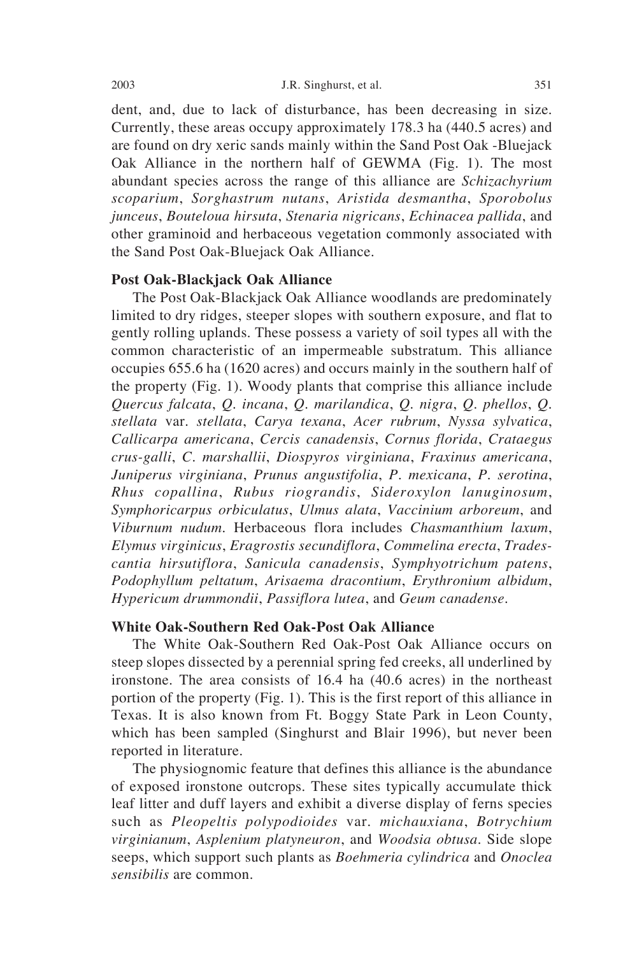dent, and, due to lack of disturbance, has been decreasing in size. Currently, these areas occupy approximately 178.3 ha (440.5 acres) and are found on dry xeric sands mainly within the Sand Post Oak -Bluejack Oak Alliance in the northern half of GEWMA (Fig. 1). The most abundant species across the range of this alliance are *Schizachyrium scoparium*, *Sorghastrum nutans*, *Aristida desmantha*, *Sporobolus junceus*, *Bouteloua hirsuta*, *Stenaria nigricans*, *Echinacea pallida*, and other graminoid and herbaceous vegetation commonly associated with the Sand Post Oak-Bluejack Oak Alliance.

### **Post Oak-Blackjack Oak Alliance**

The Post Oak-Blackjack Oak Alliance woodlands are predominately limited to dry ridges, steeper slopes with southern exposure, and flat to gently rolling uplands. These possess a variety of soil types all with the common characteristic of an impermeable substratum. This alliance occupies 655.6 ha (1620 acres) and occurs mainly in the southern half of the property (Fig. 1). Woody plants that comprise this alliance include *Quercus falcata*, *Q*. *incana*, *Q*. *marilandica*, *Q*. *nigra*, *Q*. *phellos*, *Q*. *stellata* var. *stellata*, *Carya texana*, *Acer rubrum*, *Nyssa sylvatica*, *Callicarpa americana*, *Cercis canadensis*, *Cornus florida*, *Crataegus crus-galli*, *C*. *marshallii*, *Diospyros virginiana*, *Fraxinus americana*, *Juniperus virginiana*, *Prunus angustifolia*, *P*. *mexicana*, *P*. *serotina*, *Rhus copallina*, *Rubus riograndis*, *Sideroxylon lanuginosum*, *Symphoricarpus orbiculatus*, *Ulmus alata*, *Vaccinium arboreum*, and *Viburnum nudum*. Herbaceous flora includes *Chasmanthium laxum*, *Elymus virginicus*, *Eragrostis secundiflora*, *Commelina erecta*, *Tradescantia hirsutiflora*, *Sanicula canadensis*, *Symphyotrichum patens*, *Podophyllum peltatum*, *Arisaema dracontium*, *Erythronium albidum*, *Hypericum drummondii*, *Passiflora lutea*, and *Geum canadense*.

## **White Oak-Southern Red Oak-Post Oak Alliance**

The White Oak-Southern Red Oak-Post Oak Alliance occurs on steep slopes dissected by a perennial spring fed creeks, all underlined by ironstone. The area consists of 16.4 ha (40.6 acres) in the northeast portion of the property (Fig. 1). This is the first report of this alliance in Texas. It is also known from Ft. Boggy State Park in Leon County, which has been sampled (Singhurst and Blair 1996), but never been reported in literature.

The physiognomic feature that defines this alliance is the abundance of exposed ironstone outcrops. These sites typically accumulate thick leaf litter and duff layers and exhibit a diverse display of ferns species such as *Pleopeltis polypodioides* var. *michauxiana*, *Botrychium virginianum*, *Asplenium platyneuron*, and *Woodsia obtusa*. Side slope seeps, which support such plants as *Boehmeria cylindrica* and *Onoclea sensibilis* are common.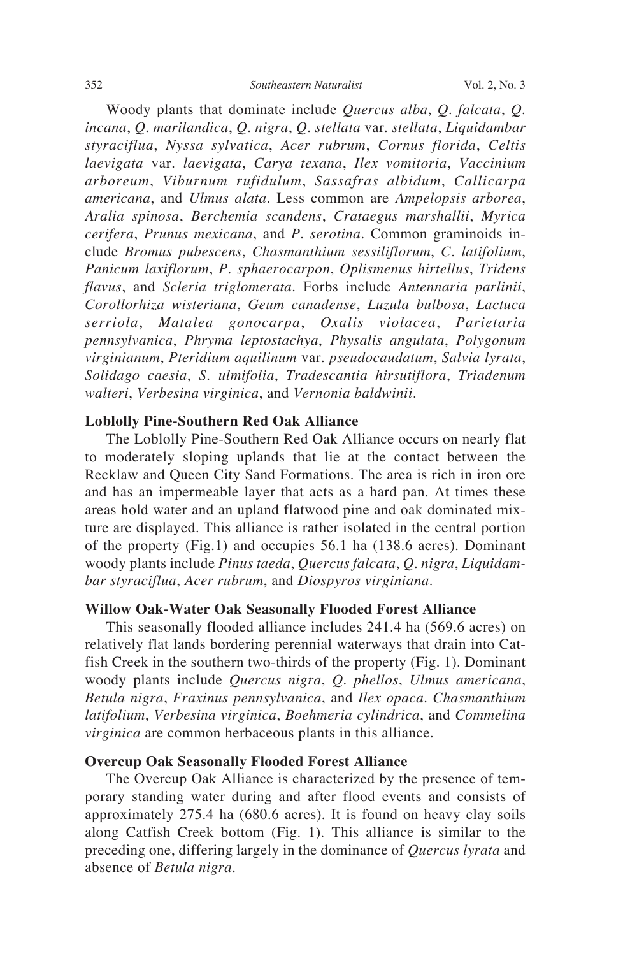Woody plants that dominate include *Quercus alba*, *Q*. *falcata*, *Q*. *incana*, *Q*. *marilandica*, *Q*. *nigra*, *Q*. *stellata* var. *stellata*, *Liquidambar styraciflua*, *Nyssa sylvatica*, *Acer rubrum*, *Cornus florida*, *Celtis laevigata* var. *laevigata*, *Carya texana*, *Ilex vomitoria*, *Vaccinium arboreum*, *Viburnum rufidulum*, *Sassafras albidum*, *Callicarpa americana*, and *Ulmus alata*. Less common are *Ampelopsis arborea*, *Aralia spinosa*, *Berchemia scandens*, *Crataegus marshallii*, *Myrica cerifera*, *Prunus mexicana*, and *P. serotina*. Common graminoids include *Bromus pubescens*, *Chasmanthium sessiliflorum*, *C. latifolium*, *Panicum laxiflorum*, *P*. *sphaerocarpon*, *Oplismenus hirtellus*, *Tridens flavus*, and *Scleria triglomerata*. Forbs include *Antennaria parlinii*, *Corollorhiza wisteriana*, *Geum canadense*, *Luzula bulbosa*, *Lactuca serriola*, *Matalea gonocarpa*, *Oxalis violacea*, *Parietaria pennsylvanica*, *Phryma leptostachya*, *Physalis angulata*, *Polygonum virginianum*, *Pteridium aquilinum* var. *pseudocaudatum*, *Salvia lyrata*, *Solidago caesia*, *S*. *ulmifolia*, *Tradescantia hirsutiflora*, *Triadenum walteri*, *Verbesina virginica*, and *Vernonia baldwinii*.

#### **Loblolly Pine-Southern Red Oak Alliance**

The Loblolly Pine-Southern Red Oak Alliance occurs on nearly flat to moderately sloping uplands that lie at the contact between the Recklaw and Queen City Sand Formations. The area is rich in iron ore and has an impermeable layer that acts as a hard pan. At times these areas hold water and an upland flatwood pine and oak dominated mixture are displayed. This alliance is rather isolated in the central portion of the property (Fig.1) and occupies 56.1 ha (138.6 acres). Dominant woody plants include *Pinus taeda*, *Quercus falcata*, *Q*. *nigra*, *Liquidambar styraciflua*, *Acer rubrum*, and *Diospyros virginiana*.

## **Willow Oak-Water Oak Seasonally Flooded Forest Alliance**

This seasonally flooded alliance includes 241.4 ha (569.6 acres) on relatively flat lands bordering perennial waterways that drain into Catfish Creek in the southern two-thirds of the property (Fig. 1). Dominant woody plants include *Quercus nigra*, *Q*. *phellos*, *Ulmus americana*, *Betula nigra*, *Fraxinus pennsylvanica*, and *Ilex opaca*. *Chasmanthium latifolium*, *Verbesina virginica*, *Boehmeria cylindrica*, and *Commelina virginica* are common herbaceous plants in this alliance.

#### **Overcup Oak Seasonally Flooded Forest Alliance**

The Overcup Oak Alliance is characterized by the presence of temporary standing water during and after flood events and consists of approximately 275.4 ha (680.6 acres). It is found on heavy clay soils along Catfish Creek bottom (Fig. 1). This alliance is similar to the preceding one, differing largely in the dominance of *Quercus lyrata* and absence of *Betula nigra*.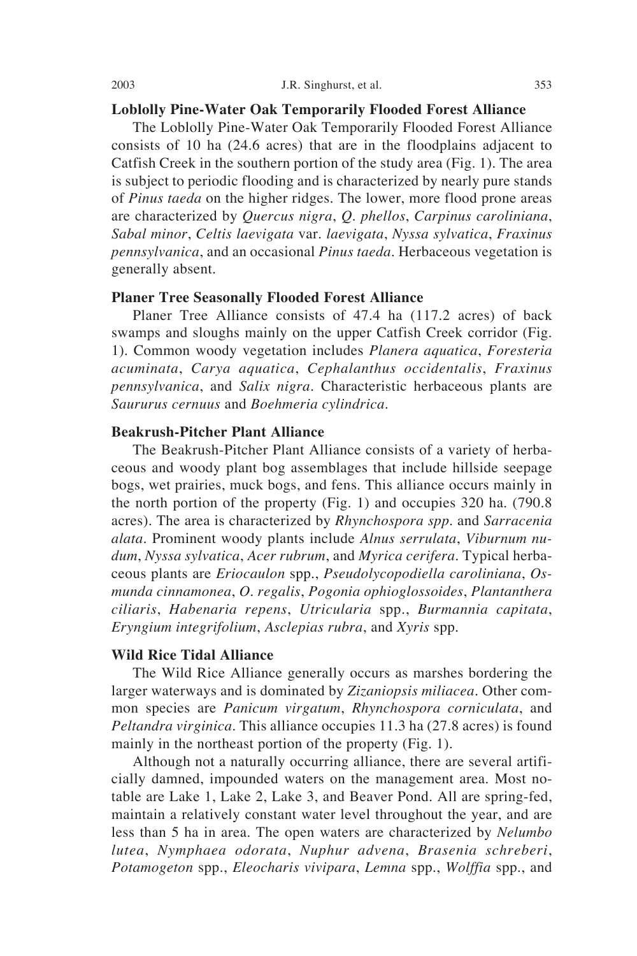#### **Loblolly Pine-Water Oak Temporarily Flooded Forest Alliance**

The Loblolly Pine-Water Oak Temporarily Flooded Forest Alliance consists of 10 ha (24.6 acres) that are in the floodplains adjacent to Catfish Creek in the southern portion of the study area (Fig. 1). The area is subject to periodic flooding and is characterized by nearly pure stands of *Pinus taeda* on the higher ridges. The lower, more flood prone areas are characterized by *Quercus nigra*, *Q*. *phellos*, *Carpinus caroliniana*, *Sabal minor*, *Celtis laevigata* var. *laevigata*, *Nyssa sylvatica*, *Fraxinus pennsylvanica*, and an occasional *Pinus taeda*. Herbaceous vegetation is generally absent.

# **Planer Tree Seasonally Flooded Forest Alliance**

Planer Tree Alliance consists of 47.4 ha (117.2 acres) of back swamps and sloughs mainly on the upper Catfish Creek corridor (Fig. 1). Common woody vegetation includes *Planera aquatica*, *Foresteria acuminata*, *Carya aquatica*, *Cephalanthus occidentalis*, *Fraxinus pennsylvanica*, and *Salix nigra*. Characteristic herbaceous plants are *Saururus cernuus* and *Boehmeria cylindrica*.

# **Beakrush-Pitcher Plant Alliance**

The Beakrush-Pitcher Plant Alliance consists of a variety of herbaceous and woody plant bog assemblages that include hillside seepage bogs, wet prairies, muck bogs, and fens. This alliance occurs mainly in the north portion of the property (Fig. 1) and occupies 320 ha. (790.8 acres). The area is characterized by *Rhynchospora spp*. and *Sarracenia alata*. Prominent woody plants include *Alnus serrulata*, *Viburnum nudum*, *Nyssa sylvatica*, *Acer rubrum*, and *Myrica cerifera*. Typical herbaceous plants are *Eriocaulon* spp., *Pseudolycopodiella caroliniana*, *Osmunda cinnamonea*, *O. regalis*, *Pogonia ophioglossoides*, *Plantanthera ciliaris*, *Habenaria repens*, *Utricularia* spp., *Burmannia capitata*, *Eryngium integrifolium*, *Asclepias rubra*, and *Xyris* spp.

# **Wild Rice Tidal Alliance**

The Wild Rice Alliance generally occurs as marshes bordering the larger waterways and is dominated by *Zizaniopsis miliacea*. Other common species are *Panicum virgatum*, *Rhynchospora corniculata*, and *Peltandra virginica.* This alliance occupies 11.3 ha (27.8 acres) is found mainly in the northeast portion of the property (Fig. 1).

Although not a naturally occurring alliance, there are several artificially damned, impounded waters on the management area. Most notable are Lake 1, Lake 2, Lake 3, and Beaver Pond. All are spring-fed, maintain a relatively constant water level throughout the year, and are less than 5 ha in area. The open waters are characterized by *Nelumbo lutea*, *Nymphaea odorata*, *Nuphur advena*, *Brasenia schreberi*, *Potamogeton* spp., *Eleocharis vivipara*, *Lemna* spp., *Wolffia* spp., and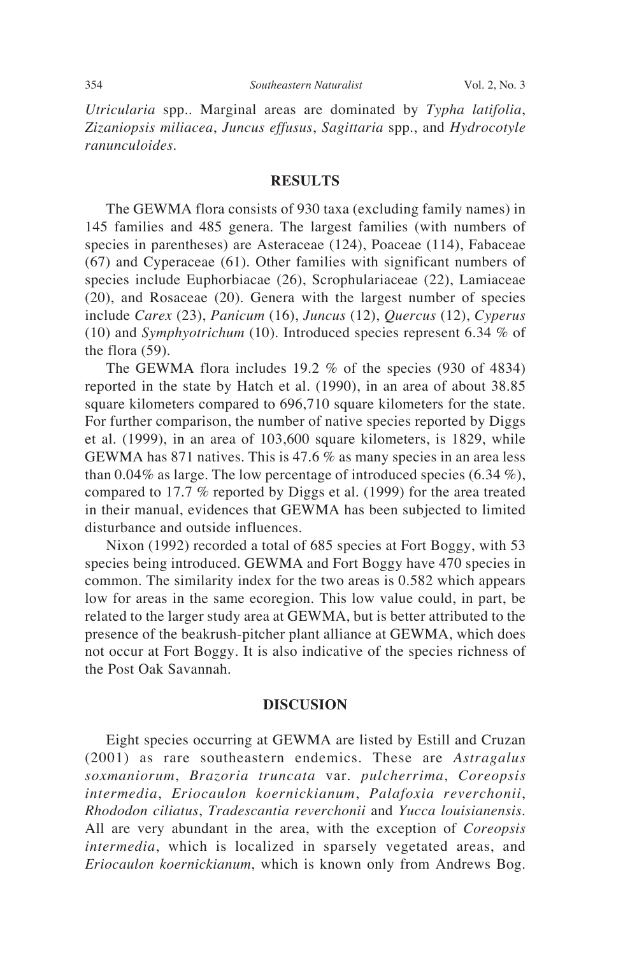*Utricularia* spp.. Marginal areas are dominated by *Typha latifolia*, *Zizaniopsis miliacea*, *Juncus effusus*, *Sagittaria* spp., and *Hydrocotyle ranunculoides*.

#### **RESULTS**

The GEWMA flora consists of 930 taxa (excluding family names) in 145 families and 485 genera. The largest families (with numbers of species in parentheses) are Asteraceae (124), Poaceae (114), Fabaceae (67) and Cyperaceae (61). Other families with significant numbers of species include Euphorbiacae (26), Scrophulariaceae (22), Lamiaceae (20), and Rosaceae (20). Genera with the largest number of species include *Carex* (23), *Panicum* (16), *Juncus* (12), *Quercus* (12), *Cyperus* (10) and *Symphyotrichum* (10). Introduced species represent 6.34 % of the flora (59).

The GEWMA flora includes 19.2 % of the species (930 of 4834) reported in the state by Hatch et al. (1990), in an area of about 38.85 square kilometers compared to 696,710 square kilometers for the state. For further comparison, the number of native species reported by Diggs et al. (1999), in an area of 103,600 square kilometers, is 1829, while GEWMA has 871 natives. This is 47.6 % as many species in an area less than 0.04% as large. The low percentage of introduced species  $(6.34\%)$ , compared to 17.7 % reported by Diggs et al. (1999) for the area treated in their manual, evidences that GEWMA has been subjected to limited disturbance and outside influences.

Nixon (1992) recorded a total of 685 species at Fort Boggy, with 53 species being introduced. GEWMA and Fort Boggy have 470 species in common. The similarity index for the two areas is 0.582 which appears low for areas in the same ecoregion. This low value could, in part, be related to the larger study area at GEWMA, but is better attributed to the presence of the beakrush-pitcher plant alliance at GEWMA, which does not occur at Fort Boggy. It is also indicative of the species richness of the Post Oak Savannah.

#### **DISCUSION**

Eight species occurring at GEWMA are listed by Estill and Cruzan (2001) as rare southeastern endemics. These are *Astragalus soxmaniorum*, *Brazoria truncata* var. *pulcherrima*, *Coreopsis intermedia*, *Eriocaulon koernickianum*, *Palafoxia reverchonii*, *Rhododon ciliatus*, *Tradescantia reverchonii* and *Yucca louisianensis*. All are very abundant in the area, with the exception of *Coreopsis intermedia*, which is localized in sparsely vegetated areas, and *Eriocaulon koernickianum*, which is known only from Andrews Bog.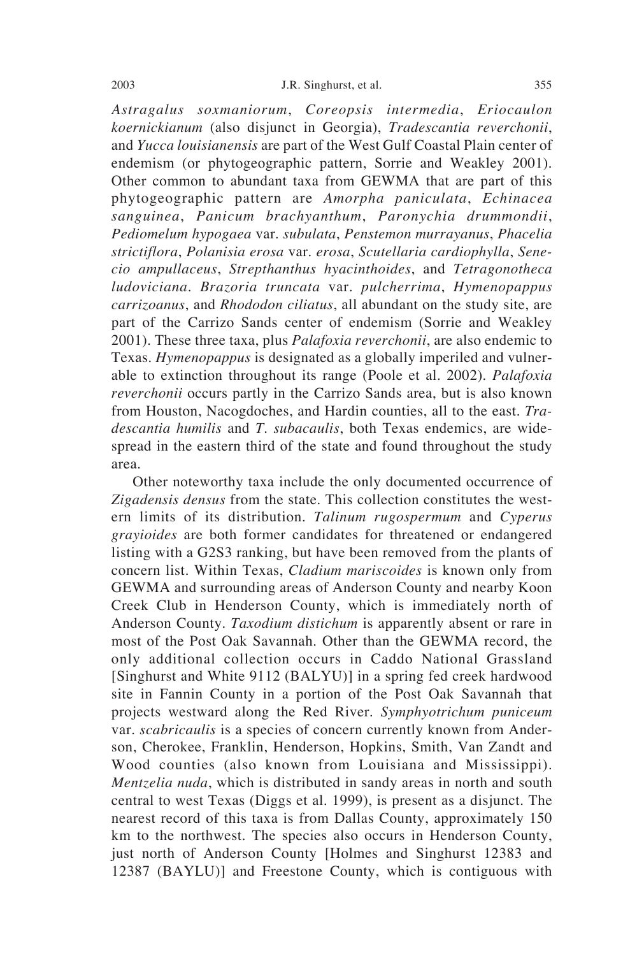*Astragalus soxmaniorum*, *Coreopsis intermedia*, *Eriocaulon koernickianum* (also disjunct in Georgia), *Tradescantia reverchonii*, and *Yucca louisianensis* are part of the West Gulf Coastal Plain center of endemism (or phytogeographic pattern, Sorrie and Weakley 2001). Other common to abundant taxa from GEWMA that are part of this phytogeographic pattern are *Amorpha paniculata*, *Echinacea sanguinea*, *Panicum brachyanthum*, *Paronychia drummondii*, *Pediomelum hypogaea* var. *subulata*, *Penstemon murrayanus*, *Phacelia strictiflora*, *Polanisia erosa* var. *erosa*, *Scutellaria cardiophylla*, *Senecio ampullaceus*, *Strepthanthus hyacinthoides*, and *Tetragonotheca ludoviciana*. *Brazoria truncata* var. *pulcherrima*, *Hymenopappus carrizoanus*, and *Rhododon ciliatus*, all abundant on the study site, are part of the Carrizo Sands center of endemism (Sorrie and Weakley 2001). These three taxa, plus *Palafoxia reverchonii*, are also endemic to Texas. *Hymenopappus* is designated as a globally imperiled and vulnerable to extinction throughout its range (Poole et al. 2002). *Palafoxia reverchonii* occurs partly in the Carrizo Sands area, but is also known from Houston, Nacogdoches, and Hardin counties, all to the east. *Tradescantia humilis* and *T*. *subacaulis*, both Texas endemics, are widespread in the eastern third of the state and found throughout the study area.

Other noteworthy taxa include the only documented occurrence of *Zigadensis densus* from the state. This collection constitutes the western limits of its distribution. *Talinum rugospermum* and *Cyperus grayioides* are both former candidates for threatened or endangered listing with a G2S3 ranking, but have been removed from the plants of concern list. Within Texas, *Cladium mariscoides* is known only from GEWMA and surrounding areas of Anderson County and nearby Koon Creek Club in Henderson County, which is immediately north of Anderson County. *Taxodium distichum* is apparently absent or rare in most of the Post Oak Savannah. Other than the GEWMA record, the only additional collection occurs in Caddo National Grassland [Singhurst and White 9112 (BALYU)] in a spring fed creek hardwood site in Fannin County in a portion of the Post Oak Savannah that projects westward along the Red River. *Symphyotrichum puniceum* var. *scabricaulis* is a species of concern currently known from Anderson, Cherokee, Franklin, Henderson, Hopkins, Smith, Van Zandt and Wood counties (also known from Louisiana and Mississippi). *Mentzelia nuda*, which is distributed in sandy areas in north and south central to west Texas (Diggs et al. 1999), is present as a disjunct. The nearest record of this taxa is from Dallas County, approximately 150 km to the northwest. The species also occurs in Henderson County, just north of Anderson County [Holmes and Singhurst 12383 and 12387 (BAYLU)] and Freestone County, which is contiguous with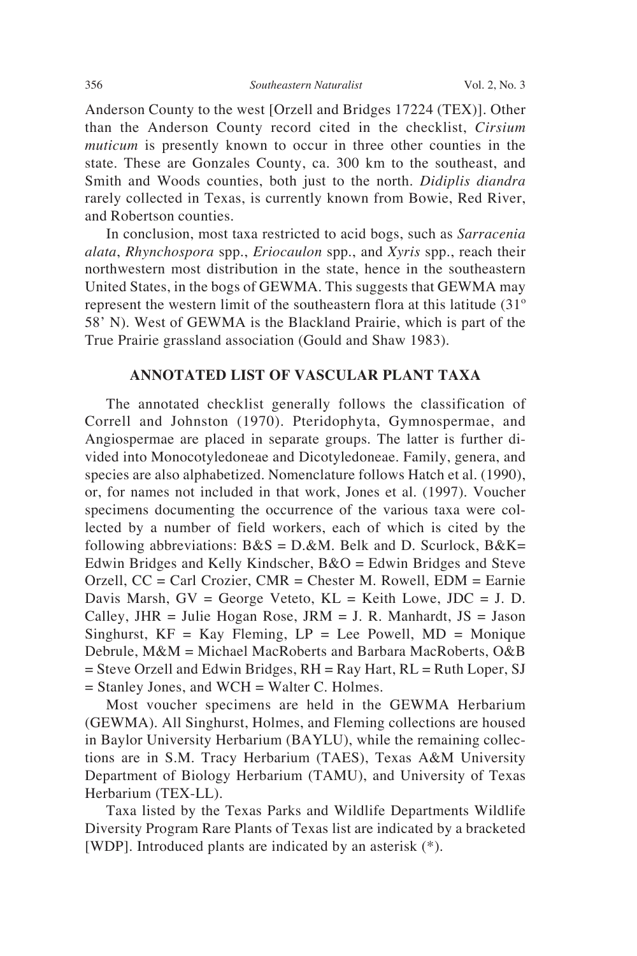Anderson County to the west [Orzell and Bridges 17224 (TEX)]. Other than the Anderson County record cited in the checklist, *Cirsium muticum* is presently known to occur in three other counties in the state. These are Gonzales County, ca. 300 km to the southeast, and Smith and Woods counties, both just to the north. *Didiplis diandra* rarely collected in Texas, is currently known from Bowie, Red River, and Robertson counties.

In conclusion, most taxa restricted to acid bogs, such as *Sarracenia alata*, *Rhynchospora* spp., *Eriocaulon* spp., and *Xyris* spp., reach their northwestern most distribution in the state, hence in the southeastern United States, in the bogs of GEWMA. This suggests that GEWMA may represent the western limit of the southeastern flora at this latitude (31º 58' N). West of GEWMA is the Blackland Prairie, which is part of the True Prairie grassland association (Gould and Shaw 1983).

#### **ANNOTATED LIST OF VASCULAR PLANT TAXA**

The annotated checklist generally follows the classification of Correll and Johnston (1970). Pteridophyta, Gymnospermae, and Angiospermae are placed in separate groups. The latter is further divided into Monocotyledoneae and Dicotyledoneae. Family, genera, and species are also alphabetized. Nomenclature follows Hatch et al. (1990), or, for names not included in that work, Jones et al. (1997). Voucher specimens documenting the occurrence of the various taxa were collected by a number of field workers, each of which is cited by the following abbreviations:  $B & S = D \& M$ . Belk and D. Scurlock,  $B & K =$ Edwin Bridges and Kelly Kindscher,  $B&O =$  Edwin Bridges and Steve Orzell, CC = Carl Crozier, CMR = Chester M. Rowell, EDM = Earnie Davis Marsh,  $GV = George$  Veteto,  $KL = Keith$  Lowe,  $JDC = J$ . D. Calley, JHR = Julie Hogan Rose, JRM = J. R. Manhardt, JS = Jason Singhurst,  $KF = Kay$  Fleming,  $LP = Lee$  Powell,  $MD = Monique$ Debrule, M&M = Michael MacRoberts and Barbara MacRoberts, O&B = Steve Orzell and Edwin Bridges, RH = Ray Hart, RL = Ruth Loper, SJ = Stanley Jones, and WCH = Walter C. Holmes.

Most voucher specimens are held in the GEWMA Herbarium (GEWMA). All Singhurst, Holmes, and Fleming collections are housed in Baylor University Herbarium (BAYLU), while the remaining collections are in S.M. Tracy Herbarium (TAES), Texas A&M University Department of Biology Herbarium (TAMU), and University of Texas Herbarium (TEX-LL).

Taxa listed by the Texas Parks and Wildlife Departments Wildlife Diversity Program Rare Plants of Texas list are indicated by a bracketed [WDP]. Introduced plants are indicated by an asterisk (\*).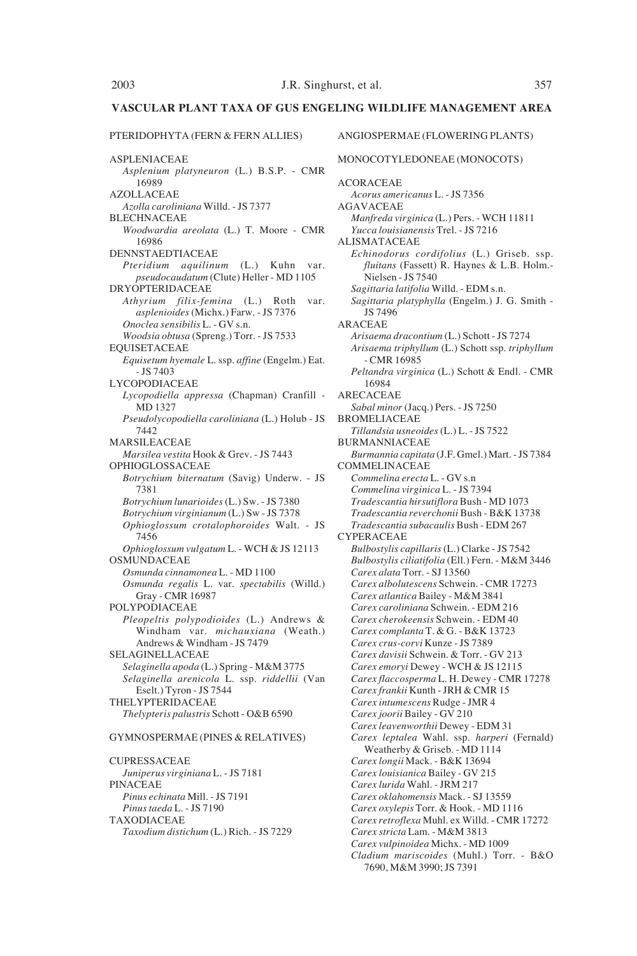#### **VASCULAR PLANT TAXA OF GUS ENGELING WILDLIFE MANAGEMENT AREA**

ASPLENIACEAE *Asplenium platyneuron* (L.) B.S.P. - CMR 16989 AZOLLACEAE *Azolla caroliniana* Willd. - JS 7377 BLECHNACEAE *Woodwardia areolata* (L.) T. Moore - CMR 16986 DENNSTAEDTIACEAE *Pteridium aquilinum* (L.) Kuhn var. *pseudocaudatum* (Clute) Heller - MD 1105 DRYOPTERIDACEAE *Athyrium filix-femina* (L.) Roth var. *asplenioides*(Michx.) Farw. - JS 7376 *Onoclea sensibilis* L. - GV s.n. *Woodsia obtusa* (Spreng.) Torr. - JS 7533 EQUISETACEAE *Equisetum hyemale* L. ssp. *affine* (Engelm.) Eat. - JS 7403 LYCOPODIACEAE *Lycopodiella appressa* (Chapman) Cranfill - MD 1327 *Pseudolycopodiella caroliniana* (L.) Holub - JS 7442 MARSILEACEAE *Marsilea vestita* Hook & Grev. - JS 7443 OPHIOGLOSSACEAE *Botrychium biternatum* (Savig) Underw. - JS 7381 *Botrychium lunarioides* (L.) Sw. - JS 7380 *Botrychium virginianum* (L.) Sw - JS 7378 *Ophioglossum crotalophoroides* Walt. - JS 7456 *Ophioglossum vulgatum* L. - WCH & JS 12113 OSMUNDACEAE *Osmunda cinnamonea* L. - MD 1100 *Osmunda regalis* L. var. *spectabilis* (Willd.) Gray - CMR 16987 POLYPODIACEAE *Pleopeltis polypodioides* (L.) Andrews & Windham var. *michauxiana* (Weath.) Andrews & Windham - JS 7479 SELAGINELLACEAE *Selaginella apoda* (L.) Spring - M&M 3775 *Selaginella arenicola* L. ssp. *riddellii* (Van Eselt.) Tyron - JS 7544 THELYPTERIDACEAE *Thelypteris palustris* Schott - O&B 6590

PTERIDOPHYTA (FERN & FERN ALLIES)

#### GYMNOSPERMAE (PINES & RELATIVES)

CUPRESSACEAE *Juniperus virginiana* L. - JS 7181 PINACEAE *Pinus echinata* Mill. - JS 7191 *Pinustaeda* L. - JS 7190 TAXODIACEAE *Taxodium distichum* (L.) Rich. - JS 7229 ANGIOSPERMAE (FLOWERING PLANTS) MONOCOTYLEDONEAE (MONOCOTS) ACORACEAE *Acorus americanus* L. - JS 7356 AGAVACEAE *Manfreda virginica* (L.) Pers. - WCH 11811 *Yucca louisianensis* Trel. - JS 7216 ALISMATACEAE *Echinodorus cordifolius* (L.) Griseb. ssp. *fluitans* (Fassett) R. Haynes & L.B. Holm.- Nielsen - JS 7540 *Sagittaria latifolia* Willd. - EDM s.n. *Sagittaria platyphylla* (Engelm.) J. G. Smith - JS 7496 ARACEAE *Arisaema dracontium* (L.) Schott - JS 7274 *Arisaema triphyllum* (L.) Schott ssp. *triphyllum* - CMR 16985 *Peltandra virginica* (L.) Schott & Endl. - CMR 16984 ARECACEAE *Sabal minor*(Jacq.) Pers. - JS 7250 BROMELIACEAE *Tillandsia usneoides* (L.) L. - JS 7522 BURMANNIACEAE *Burmannia capitata* (J.F. Gmel.) Mart. - JS 7384 COMMELINACEAE *Commelina erecta* L. - GV s.n *Commelina virginica* L. - JS 7394 *Tradescantia hirsutiflora* Bush - MD 1073 *Tradescantia reverchonii* Bush - B&K 13738 *Tradescantia subacaulis* Bush - EDM 267 CYPERACEAE *Bulbostylis capillaris* (L.) Clarke - JS 7542 *Bulbostylis ciliatifolia* (Ell.) Fern. - M&M 3446 *Carex alata* Torr. - SJ 13560 *Carex albolutescens* Schwein. - CMR 17273 *Carex atlantica* Bailey - M&M 3841 *Carex caroliniana* Schwein. - EDM 216 *Carex cherokeensis* Schwein. - EDM 40 *Carex complanta* T. & G. - B&K 13723 *Carex crus-corvi* Kunze - JS 7389 *Carex davisii* Schwein. & Torr. - GV 213 *Carex emoryi* Dewey - WCH & JS 12115 *Carex flaccosperma* L. H. Dewey - CMR 17278 *Carex frankii* Kunth - JRH & CMR 15 *Carex intumescens* Rudge - JMR 4 *Carex joorii* Bailey - GV 210 *Carex leavenworthii* Dewey - EDM 31 *Carex leptalea* Wahl. ssp. *harperi* (Fernald) Weatherby & Griseb. - MD 1114 *Carex longii* Mack. - B&K 13694 *Carex louisianica* Bailey - GV 215 *Carex lurida* Wahl. - JRM 217 *Carex oklahomensis* Mack. - SJ 13559 *Carex oxylepis* Torr. & Hook. - MD 1116 *Carex retroflexa* Muhl. ex Willd. - CMR 17272 *Carex stricta* Lam. - M&M 3813 *Carex vulpinoidea* Michx. - MD 1009 *Cladium mariscoides* (Muhl.) Torr. - B&O

7690, M&M 3990; JS 7391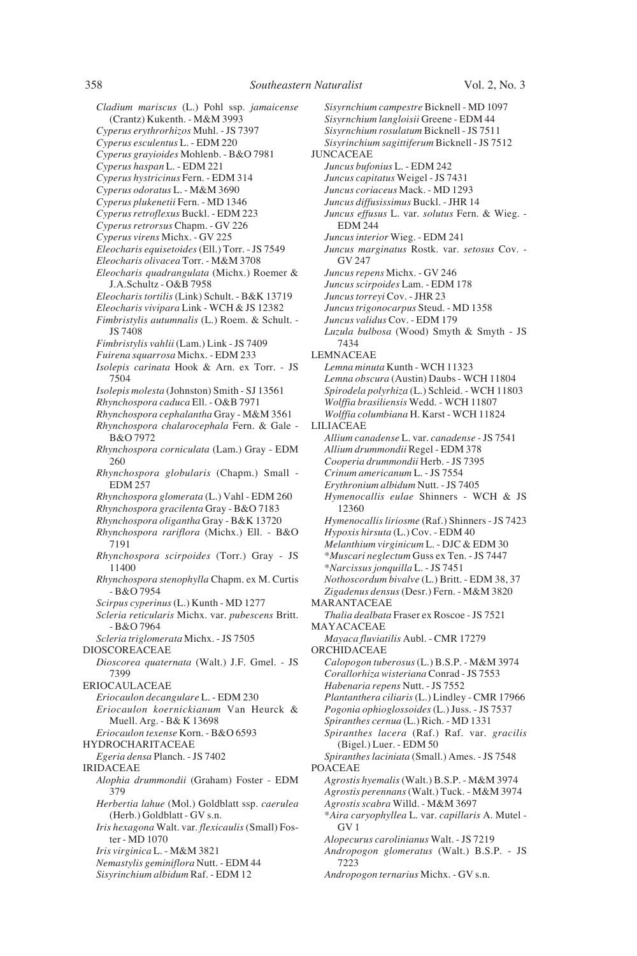*Cladium mariscus* (L.) Pohl ssp. *jamaicense* (Crantz) Kukenth. - M&M 3993 *Cyperus erythrorhizos* Muhl. - JS 7397 *Cyperus esculentus* L. - EDM 220 *Cyperus grayioides* Mohlenb. - B&O 7981 *Cyperus haspan* L. - EDM 221 *Cyperus hystricinus* Fern. - EDM 314 *Cyperus odoratus* L. - M&M 3690 *Cyperus plukenetii* Fern. - MD 1346 *Cyperusretroflexus* Buckl. - EDM 223 *Cyperusretrorsus* Chapm. - GV 226 *Cyperus virens* Michx. - GV 225 *Eleocharis equisetoides*(Ell.) Torr. - JS 7549 *Eleocharis olivacea* Torr. - M&M 3708 *Eleocharis quadrangulata* (Michx.) Roemer & J.A.Schultz - O&B 7958 *Eleocharistortilis*(Link) Schult. - B&K 13719 *Eleocharis vivipara* Link - WCH & JS 12382 *Fimbristylis autumnalis* (L.) Roem. & Schult. - JS 7408 *Fimbristylis vahlii* (Lam.) Link - JS 7409 *Fuirena squarrosa* Michx. - EDM 233 *Isolepis carinata* Hook & Arn. ex Torr. - JS 7504 *Isolepis molesta* (Johnston) Smith - SJ 13561 *Rhynchospora caduca* Ell. - O&B 7971 *Rhynchospora cephalantha* Gray - M&M 3561 *Rhynchospora chalarocephala* Fern. & Gale - B&O 7972 *Rhynchospora corniculata* (Lam.) Gray - EDM 260 *Rhynchospora globularis* (Chapm.) Small - EDM 257 *Rhynchospora glomerata* (L.) Vahl - EDM 260 *Rhynchospora gracilenta* Gray - B&O 7183 *Rhynchospora oligantha* Gray - B&K 13720 *Rhynchospora rariflora* (Michx.) Ell. - B&O 7191 *Rhynchospora scirpoides* (Torr.) Gray - JS 11400 *Rhynchospora stenophylla* Chapm. ex M. Curtis - B&O 7954 *Scirpus cyperinus*(L.) Kunth - MD 1277 *Scleria reticularis* Michx. var. *pubescens* Britt. - B&O 7964 *Scleria triglomerata* Michx. - JS 7505 DIOSCOREACEAE *Dioscorea quaternata* (Walt.) J.F. Gmel. - JS 7399 ERIOCAULACEAE *Eriocaulon decangulare* L. - EDM 230 *Eriocaulon koernickianum* Van Heurck & Muell. Arg. - B& K 13698 *Eriocaulon texense* Korn. - B&O 6593 HYDROCHARITACEAE *Egeria densa* Planch. - JS 7402 IRIDACEAE *Alophia drummondii* (Graham) Foster - EDM 379 *Herbertia lahue* (Mol.) Goldblatt ssp. *caerulea* (Herb.) Goldblatt - GV s.n. *Iris hexagona* Walt. var. *flexicaulis* (Small) Foster - MD 1070 *Iris virginica* L. - M&M 3821 *Nemastylis geminiflora* Nutt. - EDM 44 *Sisyrinchium albidum* Raf. - EDM 12

*Sisyrnchium campestre* Bicknell - MD 1097 *Sisyrnchium langloisii* Greene - EDM 44 *Sisyrnchium rosulatum* Bicknell - JS 7511 *Sisyrinchium sagittiferum* Bicknell - JS 7512 JUNCACEAE *Juncus bufonius* L. - EDM 242 *Juncus capitatus* Weigel - JS 7431 *Juncus coriaceus* Mack. - MD 1293 *Juncus diffusissimus* Buckl. - JHR 14 *Juncus effusus* L. var. *solutus* Fern. & Wieg. - EDM 244 *Juncusinterior* Wieg. - EDM 241 *Juncus marginatus* Rostk. var. *setosus* Cov. - GV 247 *Juncusrepens* Michx. - GV 246 *Juncusscirpoides* Lam. - EDM 178 *Juncustorreyi* Cov. - JHR 23 *Juncustrigonocarpus* Steud. - MD 1358 *Juncus validus* Cov. - EDM 179 *Luzula bulbosa* (Wood) Smyth & Smyth - JS 7434 LEMNACEAE *Lemna minuta* Kunth - WCH 11323 *Lemna obscura* (Austin) Daubs - WCH 11804 *Spirodela polyrhiza* (L.) Schleid. - WCH 11803 *Wolffia brasiliensis* Wedd. - WCH 11807 *Wolffia columbiana* H. Karst - WCH 11824 LILIACEAE *Allium canadense* L. var. *canadense* - JS 7541 *Allium drummondii* Regel - EDM 378 *Cooperia drummondii* Herb. - JS 7395 *Crinum americanum* L. - JS 7554 *Erythronium albidum* Nutt. - JS 7405 *Hymenocallis eulae* Shinners - WCH & JS 12360 *Hymenocallis liriosme* (Raf.) Shinners - JS 7423 *Hypoxis hirsuta* (L.) Cov. - EDM 40 *Melanthium virginicum* L. - DJC & EDM 30 \**Muscari neglectum* Guss ex Ten. - JS 7447 \**Narcissusjonquilla* L. - JS 7451 *Nothoscordum bivalve* (L.) Britt. - EDM 38, 37 *Zigadenus densus* (Desr.) Fern. - M&M 3820 MARANTACEAE *Thalia dealbata* Fraser ex Roscoe - JS 7521 MAYACACEAE *Mayaca fluviatilis* Aubl. - CMR 17279 ORCHIDACEAE *Calopogon tuberosus*(L.) B.S.P. - M&M 3974 *Corallorhiza wisteriana* Conrad - JS 7553 *Habenaria repens* Nutt. - JS 7552 *Plantanthera ciliaris*(L.) Lindley - CMR 17966 *Pogonia ophioglossoides*(L.) Juss. - JS 7537 *Spiranthes cernua* (L.) Rich. - MD 1331 *Spiranthes lacera* (Raf.) Raf. var. *gracilis* (Bigel.) Luer. - EDM 50 *Spirantheslaciniata* (Small.) Ames. - JS 7548 POACEAE *Agrostis hyemalis*(Walt.) B.S.P. - M&M 3974 *Agrostis perennans*(Walt.) Tuck. - M&M 3974 *Agrostisscabra* Willd. - M&M 3697 \**Aira caryophyllea* L. var. *capillaris* A. Mutel - GV 1 *Alopecurus carolinianus* Walt. - JS 7219 *Andropogon glomeratus* (Walt.) B.S.P. - JS 7223 *Andropogon ternarius* Michx. - GV s.n.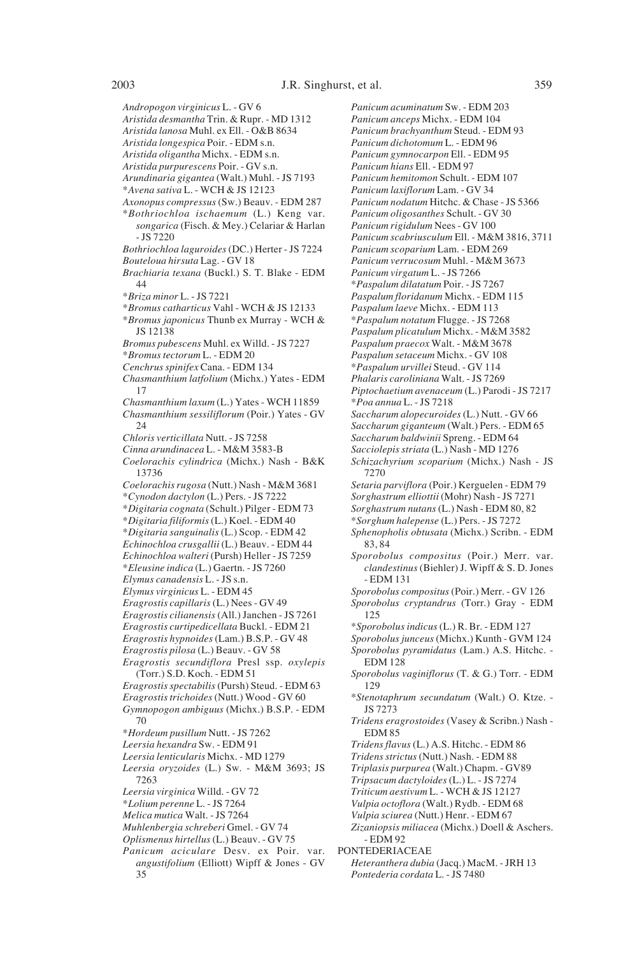*Andropogon virginicus* L. - GV 6 *Aristida desmantha* Trin. & Rupr. - MD 1312 *Aristida lanosa* Muhl. ex Ell. - O&B 8634 *Aristida longespica* Poir. - EDM s.n. *Aristida oligantha* Michx. - EDM s.n. *Aristida purpurescens* Poir. - GV s.n. *Arundinaria gigantea* (Walt.) Muhl. - JS 7193 \**Avena sativa* L. - WCH & JS 12123 *Axonopus compressus*(Sw.) Beauv. - EDM 287 \**Bothriochloa ischaemum* (L.) Keng var. *songarica* (Fisch. & Mey.) Celariar & Harlan - JS 7220 *Bothriochloa laguroides*(DC.) Herter - JS 7224 *Bouteloua hirsuta* Lag. - GV 18 *Brachiaria texana* (Buckl.) S. T. Blake - EDM 44 \**Briza minor* L. - JS 7221 \**Bromus catharticus* Vahl - WCH & JS 12133 \**Bromus japonicus* Thunb ex Murray - WCH & JS 12138 *Bromus pubescens* Muhl. ex Willd. - JS 7227 \**Bromustectorum* L. - EDM 20 *Cenchrusspinifex* Cana. - EDM 134 *Chasmanthium latfolium* (Michx.) Yates - EDM 17 *Chasmanthium laxum* (L.) Yates - WCH 11859 *Chasmanthium sessiliflorum* (Poir.) Yates - GV  $24$ *Chloris verticillata* Nutt. - JS 7258 *Cinna arundinacea* L. - M&M 3583-B *Coelorachis cylindrica* (Michx.) Nash - B&K 13736 *Coelorachisrugosa* (Nutt.) Nash - M&M 3681 \**Cynodon dactylon* (L.) Pers. - JS 7222 \**Digitaria cognata* (Schult.) Pilger - EDM 73 \**Digitaria filiformis*(L.) Koel. - EDM 40 \**Digitaria sanguinalis* (L.) Scop. - EDM 42 *Echinochloa crusgallii* (L.) Beauv. - EDM 44 *Echinochloa walteri* (Pursh) Heller - JS 7259 \**Eleusine indica* (L.) Gaertn. - JS 7260 *Elymus canadensis* L. - JS s.n. *Elymus virginicus* L. - EDM 45 *Eragrostis capillaris* (L.) Nees - GV 49 *Eragrostis cilianensis*(All.) Janchen - JS 7261 *Eragrostis curtipedicellata* Buckl. - EDM 21 *Eragrostis hypnoides*(Lam.) B.S.P. - GV 48 *Eragrostis pilosa* (L.) Beauv. - GV 58 *Eragrostis secundiflora* Presl ssp. *oxylepis* (Torr.) S.D. Koch. - EDM 51 *Eragrostisspectabilis*(Pursh) Steud. - EDM 63 *Eragrostistrichoides*(Nutt.) Wood - GV 60 *Gymnopogon ambiguus* (Michx.) B.S.P. - EDM 70 \**Hordeum pusillum* Nutt. - JS 7262 *Leersia hexandra* Sw. - EDM 91 *Leersia lenticularis* Michx. - MD 1279 *Leersia oryzoides* (L.) Sw. - M&M 3693; JS 7263 *Leersia virginica* Willd. - GV 72 \**Lolium perenne* L. - JS 7264 *Melica mutica* Walt. - JS 7264 *Muhlenbergia schreberi* Gmel. - GV 74 *Oplismenus hirtellus*(L.) Beauv. - GV 75 *Panicum aciculare* Desv. ex Poir. var. *angustifolium* (Elliott) Wipff & Jones - GV

35

*Panicum acuminatum* Sw. - EDM 203 *Panicum anceps* Michx. - EDM 104 *Panicum brachyanthum* Steud. - EDM 93 *Panicum dichotomum* L. - EDM 96 *Panicum gymnocarpon* Ell. - EDM 95 *Panicum hians* Ell. - EDM 97 *Panicum hemitomon* Schult. - EDM 107 *Panicum laxiflorum* Lam. - GV 34 *Panicum nodatum* Hitchc. & Chase - JS 5366 *Panicum oligosanthes* Schult. - GV 30 *Panicum rigidulum* Nees - GV 100 *Panicum scabriusculum* Ell. - M&M 3816, 3711 *Panicum scoparium* Lam. - EDM 269 *Panicum verrucosum* Muhl. - M&M 3673 *Panicum virgatum* L. - JS 7266 \**Paspalum dilatatum* Poir. - JS 7267 *Paspalum floridanum* Michx. - EDM 115 *Paspalum laeve* Michx. - EDM 113 \**Paspalum notatum* Flugge. - JS 7268 *Paspalum plicatulum* Michx. - M&M 3582 *Paspalum praecox* Walt. - M&M 3678 *Paspalum setaceum* Michx. - GV 108 \**Paspalum urvillei* Steud. - GV 114 *Phalaris caroliniana* Walt. - JS 7269 *Piptochaetium avenaceum* (L.) Parodi - JS 7217 \**Poa annua* L. - JS 7218 *Saccharum alopecuroides*(L.) Nutt. - GV 66 *Saccharum giganteum* (Walt.) Pers. - EDM 65 *Saccharum baldwinii* Spreng. - EDM 64 *Sacciolepisstriata* (L.) Nash - MD 1276 *Schizachyrium scoparium* (Michx.) Nash - JS 7270 *Setaria parviflora* (Poir.) Kerguelen - EDM 79 *Sorghastrum elliottii* (Mohr) Nash - JS 7271 *Sorghastrum nutans*(L.) Nash - EDM 80, 82 \**Sorghum halepense* (L.) Pers. - JS 7272 *Sphenopholis obtusata* (Michx.) Scribn. - EDM 83, 84 *Sporobolus compositus* (Poir.) Merr. var. *clandestinus* (Biehler) J. Wipff & S. D. Jones - EDM 131 *Sporobolus compositus*(Poir.) Merr. - GV 126 *Sporobolus cryptandrus* (Torr.) Gray - EDM 125 \**Sporobolus indicus*(L.) R. Br. - EDM 127 *Sporobolus junceus*(Michx.) Kunth - GVM 124 *Sporobolus pyramidatus* (Lam.) A.S. Hitchc. - EDM 128 *Sporobolus vaginiflorus* (T. & G.) Torr. - EDM 129 \**Stenotaphrum secundatum* (Walt.) O. Ktze. - JS 7273 *Tridens eragrostoides* (Vasey & Scribn.) Nash - EDM 85 *Tridensflavus* (L.) A.S. Hitchc. - EDM 86 *Tridensstrictus*(Nutt.) Nash. - EDM 88 *Triplasis purpurea* (Walt.) Chapm. - GV89 *Tripsacum dactyloides*(L.) L. - JS 7274 *Triticum aestivum* L. - WCH & JS 12127 *Vulpia octoflora* (Walt.) Rydb. - EDM 68 *Vulpia sciurea* (Nutt.) Henr. - EDM 67 *Zizaniopsis miliacea* (Michx.) Doell & Aschers.  $-$  EDM 92 PONTEDERIACEAE

*Heteranthera dubia* (Jacq.) MacM. - JRH 13 *Pontederia cordata* L. - JS 7480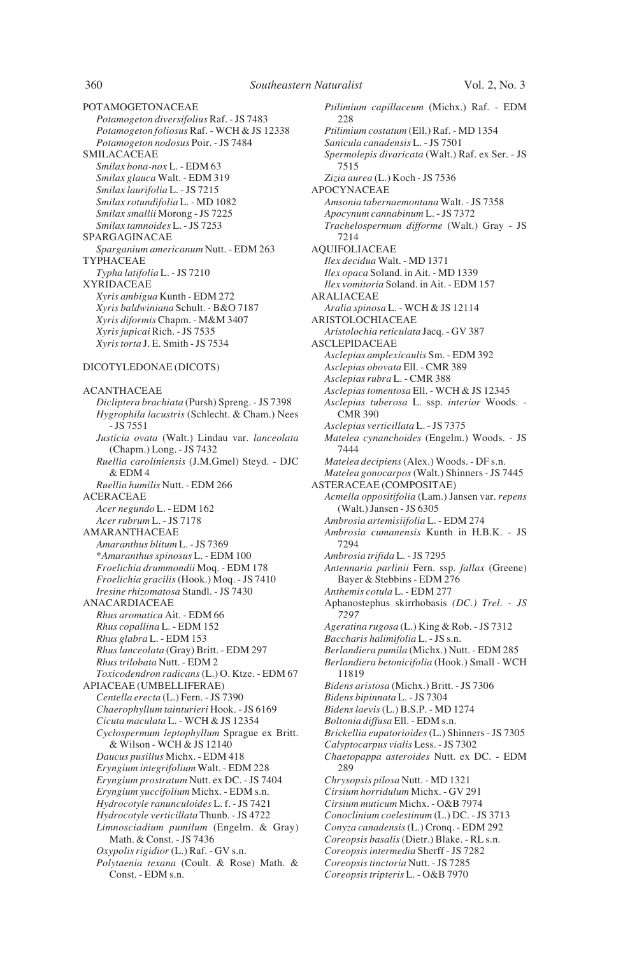POTAMOGETONACEAE *Potamogeton diversifolius* Raf. - JS 7483 *Potamogeton foliosus* Raf. - WCH & JS 12338 *Potamogeton nodosus* Poir. - JS 7484 SMILACACEAE *Smilax bona-nox* L. - EDM 63 *Smilax glauca* Walt. - EDM 319 *Smilax laurifolia* L. - JS 7215 *Smilax rotundifolia* L. - MD 1082 *Smilax smallii* Morong - JS 7225 *Smilax tamnoides* L. - JS 7253 SPARGAGINACAE *Sparganium americanum* Nutt. - EDM 263 TYPHACEAE *Typha latifolia* L. - JS 7210 XYRIDACEAE *Xyris ambigua* Kunth - EDM 272 *Xyris baldwiniana* Schult. - B&O 7187 *Xyris diformis* Chapm. - M&M 3407 *Xyris jupicai* Rich. - JS 7535 *Xyris torta* J. E. Smith - JS 7534

#### DICOTYLEDONAE (DICOTS)

ACANTHACEAE *Dicliptera brachiata* (Pursh) Spreng. - JS 7398 *Hygrophila lacustris* (Schlecht. & Cham.) Nees - JS 7551 *Justicia ovata* (Walt.) Lindau var. *lanceolata* (Chapm.) Long. - JS 7432 *Ruellia caroliniensis* (J.M.Gmel) Steyd. - DJC  $\&$  EDM  $\&$ *Ruellia humilis* Nutt. - EDM 266 ACERACEAE *Acer negundo* L. - EDM 162 *Acer rubrum* L. - JS 7178 AMARANTHACEAE *Amaranthus blitum* L. - JS 7369 \**Amaranthusspinosus* L. - EDM 100 *Froelichia drummondii* Moq. - EDM 178 *Froelichia gracilis*(Hook.) Moq. - JS 7410 *Iresine rhizomatosa* Standl. - JS 7430 ANACARDIACEAE *Rhus aromatica* Ait. - EDM 66 *Rhus copallina* L. - EDM 152 *Rhus glabra* L. - EDM 153 *Rhuslanceolata* (Gray) Britt. - EDM 297 *Rhustrilobata* Nutt. - EDM 2 *Toxicodendron radicans* (L.) O. Ktze. - EDM 67 APIACEAE (UMBELLIFERAE) *Centella erecta* (L.) Fern. - JS 7390 *Chaerophyllum tainturieri* Hook. - JS 6169 *Cicuta maculata* L. - WCH & JS 12354 *Cyclospermum leptophyllum* Sprague ex Britt. & Wilson - WCH & JS 12140 *Daucus pusillus* Michx. - EDM 418 *Eryngium integrifolium* Walt. - EDM 228 *Eryngium prostratum* Nutt. ex DC. - JS 7404 *Eryngium yuccifolium* Michx. - EDM s.n. *Hydrocotyle ranunculoides* L. f. - JS 7421 *Hydrocotyle verticillata* Thunb. - JS 4722 *Limnosciadium pumilum* (Engelm. & Gray) Math. & Const. - JS 7436 *Oxypolisrigidior* (L.) Raf. - GV s.n. *Polytaenia texana* (Coult. & Rose) Math. & Const. - EDM s.n.

*Ptilimium capillaceum* (Michx.) Raf. - EDM 228 *Ptilimium costatum* (Ell.) Raf. - MD 1354 *Sanicula canadensis* L. - JS 7501 *Spermolepis divaricata* (Walt.) Raf. ex Ser. - JS 7515 *Zizia aurea* (L.) Koch - JS 7536 APOCYNACEAE *Amsonia tabernaemontana* Walt. - JS 7358 *Apocynum cannabinum* L. - JS 7372 *Trachelospermum difforme* (Walt.) Gray - JS 7214 AQUIFOLIACEAE *Ilex decidua* Walt. - MD 1371 *Ilex opaca* Soland. in Ait. - MD 1339 *Ilex vomitoria* Soland. in Ait. - EDM 157 ARALIACEAE *Aralia spinosa* L. - WCH & JS 12114 ARISTOLOCHIACEAE *Aristolochia reticulata* Jacq. - GV 387 ASCLEPIDACEAE *Asclepias amplexicaulis* Sm. - EDM 392 *Asclepias obovata* Ell. - CMR 389 *Asclepiasrubra* L. - CMR 388 *Asclepiastomentosa* Ell. - WCH & JS 12345 *Asclepias tuberosa* L. ssp. *interior* Woods. - CMR 390 *Asclepias verticillata* L. - JS 7375 *Matelea cynanchoides* (Engelm.) Woods. - JS 7444 *Matelea decipiens*(Alex.) Woods. - DF s.n. *Matelea gonocarpos*(Walt.) Shinners - JS 7445 ASTERACEAE (COMPOSITAE) *Acmella oppositifolia* (Lam.) Jansen var. *repens* (Walt.) Jansen - JS 6305 *Ambrosia artemisiifolia* L. - EDM 274 *Ambrosia cumanensis* Kunth in H.B.K. - JS 7294 *Ambrosia trifida* L. - JS 7295 *Antennaria parlinii* Fern. ssp. *fallax* (Greene) Bayer & Stebbins - EDM 276 *Anthemis cotula* L. - EDM 277 Aphanostephus skirrhobasis *(DC.) Trel. - JS 7297 Ageratina rugosa* (L.) King & Rob. - JS 7312 *Baccharis halimifolia* L. - JS s.n. *Berlandiera pumila* (Michx.) Nutt. - EDM 285 *Berlandiera betonicifolia* (Hook.) Small - WCH 11819 *Bidens aristosa* (Michx.) Britt. - JS 7306 *Bidens bipinnata* L. - JS 7304 *Bidenslaevis*(L.) B.S.P. - MD 1274 *Boltonia diffusa* Ell. - EDM s.n. *Brickellia eupatorioides*(L.) Shinners - JS 7305 *Calyptocarpus vialis* Less. - JS 7302 *Chaetopappa asteroides* Nutt. ex DC. - EDM 289 *Chrysopsis pilosa* Nutt. - MD 1321 *Cirsium horridulum* Michx. - GV 291 *Cirsium muticum* Michx. - O&B 7974 *Conoclinium coelestinum* (L.) DC. - JS 3713 *Conyza canadensis*(L.) Cronq. - EDM 292 *Coreopsis basalis*(Dietr.) Blake. - RL s.n. *Coreopsis intermedia* Sherff - JS 7282 *Coreopsis tinctoria* Nutt. - JS 7285

*Coreopsis tripteris* L. - O&B 7970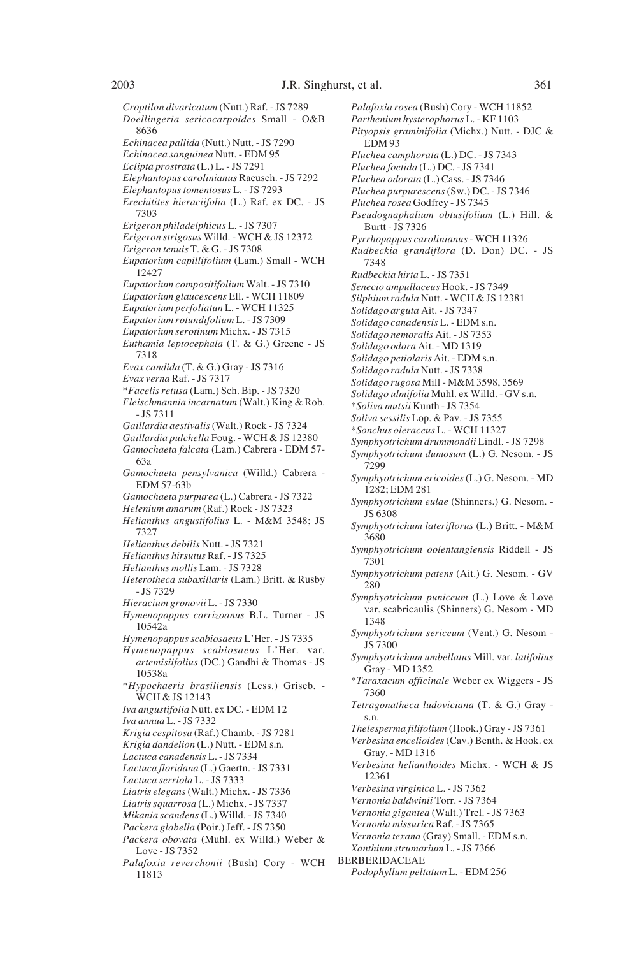*Croptilon divaricatum* (Nutt.) Raf. - JS 7289 *Doellingeria sericocarpoides* Small - O&B 8636 *Echinacea pallida* (Nutt.) Nutt. - JS 7290 *Echinacea sanguinea* Nutt. - EDM 95 *Eclipta prostrata* (L.) L. - JS 7291 *Elephantopus carolinianus* Raeusch. - JS 7292 *Elephantopustomentosus* L. - JS 7293 *Erechitites hieraciifolia* (L.) Raf. ex DC. - JS 7303 *Erigeron philadelphicus* L. - JS 7307 *Erigeron strigosus* Willd. - WCH & JS 12372 *Erigeron tenuis* T. & G. - JS 7308 *Eupatorium capillifolium* (Lam.) Small - WCH 12427 *Eupatorium compositifolium* Walt. - JS 7310 *Eupatorium glaucescens* Ell. - WCH 11809 *Eupatorium perfoliatun* L. - WCH 11325 *Eupatorium rotundifolium* L. - JS 7309 *Eupatorium serotinum* Michx. - JS 7315 *Euthamia leptocephala* (T. & G.) Greene - JS 7318 *Evax candida* (T. & G.) Gray - JS 7316 *Evax verna* Raf. - JS 7317 \**Facelisretusa* (Lam.) Sch. Bip. - JS 7320 *Fleischmannia incarnatum* (Walt.) King & Rob. - JS 7311 *Gaillardia aestivalis*(Walt.) Rock - JS 7324 *Gaillardia pulchella* Foug. - WCH & JS 12380 *Gamochaeta falcata* (Lam.) Cabrera - EDM 57- 63a *Gamochaeta pensylvanica* (Willd.) Cabrera - EDM 57-63b *Gamochaeta purpurea* (L.) Cabrera - JS 7322 *Helenium amarum* (Raf.) Rock - JS 7323 *Helianthus angustifolius* L. - M&M 3548; JS 7327 *Helianthus debilis* Nutt. - JS 7321 *Helianthus hirsutus* Raf. - JS 7325 *Helianthus mollis* Lam. - JS 7328 *Heterotheca subaxillaris* (Lam.) Britt. & Rusby - JS 7329 *Hieracium gronovii* L. - JS 7330 *Hymenopappus carrizoanus* B.L. Turner - JS 10542a Hymenopappus scabiosaeus L'Her. - JS 7335 *Hymenopappus scabiosaeus* LíHer. var. *artemisiifolius* (DC.) Gandhi & Thomas - JS 10538a \**Hypochaeris brasiliensis* (Less.) Griseb. - WCH & JS 12143 *Iva angustifolia* Nutt. ex DC. - EDM 12 *Iva annua* L. - JS 7332 *Krigia cespitosa* (Raf.) Chamb. - JS 7281 *Krigia dandelion* (L.) Nutt. - EDM s.n. *Lactuca canadensis* L. - JS 7334 *Lactuca floridana* (L.) Gaertn. - JS 7331 *Lactuca serriola* L. - JS 7333 *Liatris elegans*(Walt.) Michx. - JS 7336 *Liatrissquarrosa* (L.) Michx. - JS 7337 *Mikania scandens* (L.) Willd. - JS 7340 *Packera glabella* (Poir.) Jeff. - JS 7350 *Packera obovata* (Muhl. ex Willd.) Weber & Love - JS 7352 *Palafoxia reverchonii* (Bush) Cory - WCH 11813

*Palafoxia rosea* (Bush) Cory - WCH 11852 *Parthenium hysterophorus* L. - KF 1103 *Pityopsis graminifolia* (Michx.) Nutt. - DJC & EDM 93 *Pluchea camphorata* (L.) DC. - JS 7343 *Pluchea foetida* (L.) DC. - JS 7341 *Pluchea odorata* (L.) Cass. - JS 7346 *Pluchea purpurescens*(Sw.) DC. - JS 7346 *Pluchea rosea* Godfrey - JS 7345 *Pseudognaphalium obtusifolium* (L.) Hill. & Burtt - JS 7326 *Pyrrhopappus carolinianus*- WCH 11326 *Rudbeckia grandiflora* (D. Don) DC. - JS 7348 *Rudbeckia hirta* L. - JS 7351 *Senecio ampullaceus* Hook. - JS 7349 *Silphium radula* Nutt. - WCH & JS 12381 *Solidago arguta* Ait. - JS 7347 *Solidago canadensis* L. - EDM s.n. *Solidago nemoralis* Ait. - JS 7353 *Solidago odora* Ait. - MD 1319 *Solidago petiolaris* Ait. - EDM s.n. *Solidago radula* Nutt. - JS 7338 *Solidago rugosa* Mill - M&M 3598, 3569 *Solidago ulmifolia* Muhl. ex Willd. - GV s.n. \**Soliva mutsii* Kunth - JS 7354 *Soliva sessilis* Lop. & Pav. - JS 7355 \**Sonchus oleraceus* L. - WCH 11327 *Symphyotrichum drummondii* Lindl. - JS 7298 *Symphyotrichum dumosum* (L.) G. Nesom. - JS 7299 *Symphyotrichum ericoides* (L.) G. Nesom. - MD 1282; EDM 281 *Symphyotrichum eulae* (Shinners.) G. Nesom. - JS 6308 *Symphyotrichum lateriflorus* (L.) Britt. - M&M 3680 *Symphyotrichum oolentangiensis* Riddell - JS 7301 *Symphyotrichum patens* (Ait.) G. Nesom. - GV 280 *Symphyotrichum puniceum* (L.) Love & Love var. scabricaulis (Shinners) G. Nesom - MD 1348 *Symphyotrichum sericeum* (Vent.) G. Nesom - JS 7300 *Symphyotrichum umbellatus* Mill. var. *latifolius* Gray - MD 1352 \**Taraxacum officinale* Weber ex Wiggers - JS 7360 *Tetragonatheca ludoviciana* (T. & G.) Gray s.n. *Thelesperma filifolium* (Hook.) Gray - JS 7361 *Verbesina encelioides* (Cav.) Benth. & Hook. ex Gray. - MD 1316 *Verbesina helianthoides* Michx. - WCH & JS 12361 *Verbesina virginica* L. - JS 7362 *Vernonia baldwinii* Torr. - JS 7364 *Vernonia gigantea* (Walt.) Trel. - JS 7363 *Vernonia missurica* Raf. - JS 7365 *Vernonia texana* (Gray) Small. - EDM s.n. *Xanthium strumarium* L. - JS 7366 BERBERIDACEAE *Podophyllum peltatum* L. - EDM 256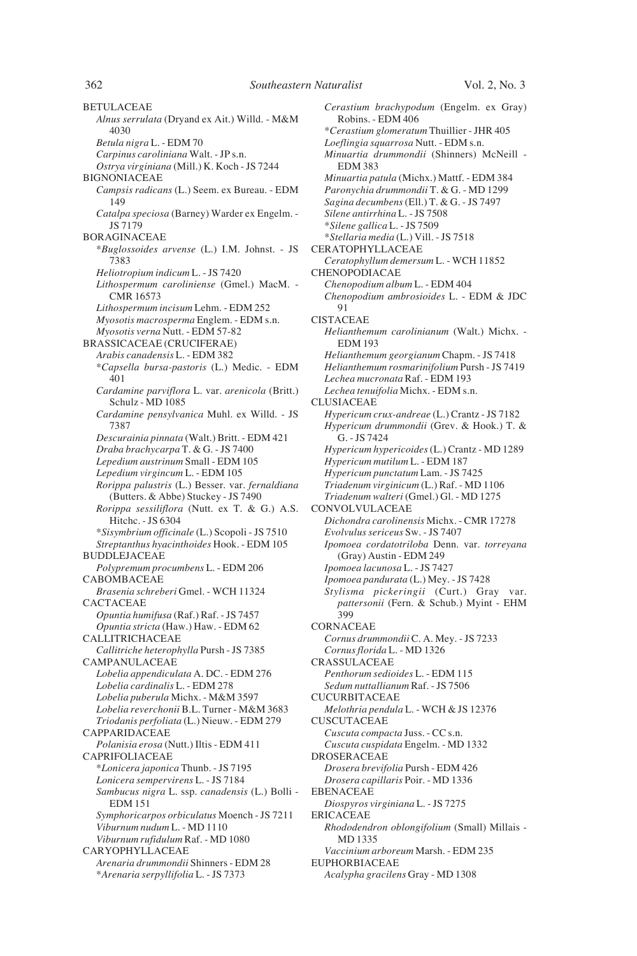BETULACEAE *Alnus serrulata* (Dryand ex Ait.) Willd. - M&M 4030 *Betula nigra* L. - EDM 70 *Carpinus caroliniana* Walt. - JP s.n. *Ostrya virginiana* (Mill.) K. Koch - JS 7244 BIGNONIACEAE *Campsis radicans* (L.) Seem. ex Bureau. - EDM  $149$ *Catalpa speciosa* (Barney) Warder ex Engelm. - JS 7179 BORAGINACEAE \**Buglossoides arvense* (L.) I.M. Johnst. - JS 7383 *Heliotropium indicum* L. - JS 7420 *Lithospermum caroliniense* (Gmel.) MacM. - CMR 16573 *Lithospermum incisum* Lehm. - EDM 252 *Myosotis macrosperma* Englem. - EDM s.n. *Myosotis verna* Nutt. - EDM 57-82 BRASSICACEAE (CRUCIFERAE) *Arabis canadensis* L. - EDM 382 \**Capsella bursa-pastoris* (L.) Medic. - EDM 401 *Cardamine parviflora* L. var. *arenicola* (Britt.) Schulz - MD 1085 *Cardamine pensylvanica* Muhl. ex Willd. - JS 7387 *Descurainia pinnata* (Walt.) Britt. - EDM 421 *Draba brachycarpa* T. & G. - JS 7400 *Lepedium austrinum* Small - EDM 105 *Lepedium virgincum* L. - EDM 105 *Rorippa palustris* (L.) Besser. var. *fernaldiana* (Butters. & Abbe) Stuckey - JS 7490 *Rorippa sessiliflora* (Nutt. ex T. & G.) A.S. Hitchc. - JS 6304 \**Sisymbrium officinale* (L.) Scopoli - JS 7510 *Streptanthus hyacinthoides* Hook. - EDM 105 BUDDLEJACEAE *Polypremum procumbens* L. - EDM 206 CABOMBACEAE *Brasenia schreberi* Gmel. - WCH 11324 CACTACEAE *Opuntia humifusa* (Raf.) Raf. - JS 7457 *Opuntia stricta* (Haw.) Haw. - EDM 62 CALLITRICHACEAE *Callitriche heterophylla* Pursh - JS 7385 CAMPANULACEAE *Lobelia appendiculata* A. DC. - EDM 276 *Lobelia cardinalis* L. - EDM 278 *Lobelia puberula* Michx. - M&M 3597 *Lobelia reverchonii* B.L. Turner - M&M 3683 *Triodanis perfoliata* (L.) Nieuw. - EDM 279 CAPPARIDACEAE *Polanisia erosa* (Nutt.) Iltis - EDM 411 CAPRIFOLIACEAE \**Lonicera japonica* Thunb. - JS 7195 *Lonicera sempervirens* L. - JS 7184 *Sambucus nigra* L. ssp. *canadensis* (L.) Bolli - EDM 151 *Symphoricarpos orbiculatus* Moench - JS 7211 *Viburnum nudum* L. - MD 1110 *Viburnum rufidulum* Raf. - MD 1080 CARYOPHYLLACEAE *Arenaria drummondii* Shinners - EDM 28 \**Arenaria serpyllifolia* L. - JS 7373

*Cerastium brachypodum* (Engelm. ex Gray) Robins. - EDM 406 \**Cerastium glomeratum* Thuillier - JHR 405 *Loeflingia squarrosa* Nutt. - EDM s.n. *Minuartia drummondii* (Shinners) McNeill - EDM 383 *Minuartia patula* (Michx.) Mattf. - EDM 384 *Paronychia drummondii* T. & G. - MD 1299 *Sagina decumbens*(Ell.) T. & G. - JS 7497 *Silene antirrhina* L. - JS 7508 \**Silene gallica* L. - JS 7509 \**Stellaria media* (L.) Vill. - JS 7518 CERATOPHYLLACEAE *Ceratophyllum demersum* L. - WCH 11852 **CHENOPODIACAE** *Chenopodium album* L. - EDM 404 *Chenopodium ambrosioides* L. - EDM & JDC 91 CISTACEAE *Helianthemum carolinianum* (Walt.) Michx. - EDM 193 *Helianthemum georgianum* Chapm. - JS 7418 *Helianthemum rosmarinifolium* Pursh - JS 7419 *Lechea mucronata* Raf. - EDM 193 *Lechea tenuifolia* Michx. - EDM s.n. CLUSIACEAE *Hypericum crux-andreae* (L.) Crantz - JS 7182 *Hypericum drummondii* (Grev. & Hook.) T. & G. - JS 7424 *Hypericum hypericoides*(L.) Crantz - MD 1289 *Hypericum mutilum* L. - EDM 187 *Hypericum punctatum* Lam. - JS 7425 *Triadenum virginicum* (L.) Raf. - MD 1106 *Triadenum walteri* (Gmel.) Gl. - MD 1275 CONVOLVULACEAE *Dichondra carolinensis* Michx. - CMR 17278 *Evolvulus sericeus* Sw. - JS 7407 *Ipomoea cordatotriloba* Denn. var. *torreyana* (Gray) Austin - EDM 249 *Ipomoea lacunosa* L. - JS 7427 *Ipomoea pandurata* (L.) Mey. - JS 7428 *Stylisma pickeringii* (Curt.) Gray var. *pattersonii* (Fern. & Schub.) Myint - EHM 399 CORNACEAE *Cornus drummondii* C. A. Mey. - JS 7233 *Cornusflorida* L. - MD 1326 CRASSULACEAE *Penthorum sedioides* L. - EDM 115 *Sedum nuttallianum* Raf. - JS 7506 CUCURBITACEAE *Melothria pendula* L. - WCH & JS 12376 **CUSCUTACEAE** *Cuscuta compacta* Juss. - CC s.n. *Cuscuta cuspidata* Engelm. - MD 1332 DROSERACEAE *Drosera brevifolia* Pursh - EDM 426 *Drosera capillaris* Poir. - MD 1336 EBENACEAE *Diospyros virginiana* L. - JS 7275 ERICACEAE *Rhododendron oblongifolium* (Small) Millais - MD 1335 *Vaccinium arboreum* Marsh. - EDM 235 EUPHORBIACEAE

*Acalypha gracilens* Gray - MD 1308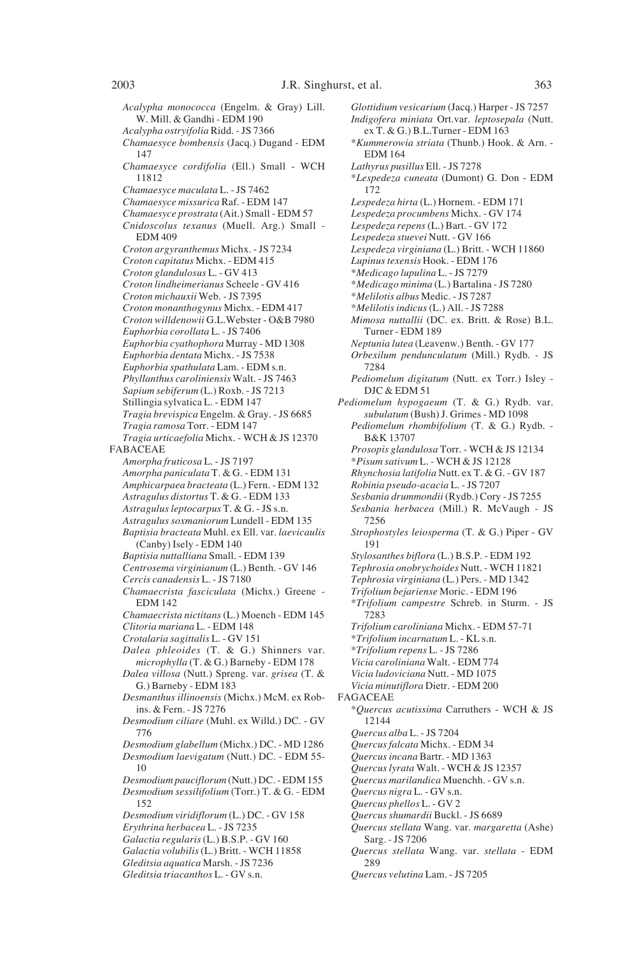*Acalypha monococca* (Engelm. & Gray) Lill. W. Mill. & Gandhi - EDM 190 *Acalypha ostryifolia* Ridd. - JS 7366 *Chamaesyce bombensis* (Jacq.) Dugand - EDM 147 *Chamaesyce cordifolia* (Ell.) Small - WCH 11812 *Chamaesyce maculata* L. - JS 7462 *Chamaesyce missurica* Raf. - EDM 147 *Chamaesyce prostrata* (Ait.) Small - EDM 57 *Cnidoscolus texanus* (Muell. Arg.) Small - EDM 409 *Croton argyranthemus* Michx. - JS 7234 *Croton capitatus* Michx. - EDM 415 *Croton glandulosus* L. - GV 413 *Croton lindheimerianus* Scheele - GV 416 *Croton michauxii* Web. - JS 7395 *Croton monanthogynus* Michx. - EDM 417 *Croton willdenowii* G.L.Webster - O&B 7980 *Euphorbia corollata* L. - JS 7406 *Euphorbia cyathophora* Murray - MD 1308 *Euphorbia dentata* Michx. - JS 7538 *Euphorbia spathulata* Lam. - EDM s.n. *Phyllanthus caroliniensis* Walt. - JS 7463 *Sapium sebiferum* (L.) Roxb. - JS 7213 Stillingia sylvatica L. - EDM 147 *Tragia brevispica* Engelm. & Gray. - JS 6685 *Tragia ramosa* Torr. - EDM 147 *Tragia urticaefolia* Michx. - WCH & JS 12370 FABACEAE *Amorpha fruticosa* L. - JS 7197 *Amorpha paniculata* T. & G. - EDM 131 *Amphicarpaea bracteata* (L.) Fern. - EDM 132 *Astragulus distortus* T. & G. - EDM 133 *Astragulusleptocarpus* T. & G. - JS s.n. *Astragulussoxmaniorum* Lundell - EDM 135 *Baptisia bracteata* Muhl. ex Ell. var. *laevicaulis* (Canby) Isely - EDM 140 *Baptisia nuttalliana* Small. - EDM 139 *Centrosema virginianum* (L.) Benth. - GV 146 *Cercis canadensis* L. - JS 7180 *Chamaecrista fasciculata* (Michx.) Greene - EDM 142 *Chamaecrista nictitans*(L.) Moench - EDM 145 *Clitoria mariana* L. - EDM 148 *Crotalaria sagittalis* L. - GV 151 *Dalea phleoides* (T. & G.) Shinners var. *microphylla* (T. & G.) Barneby - EDM 178 *Dalea villosa* (Nutt.) Spreng. var. *grisea* (T. & G.) Barneby - EDM 183 *Desmanthus illinoensis* (Michx.) McM. ex Robins. & Fern. - JS 7276 *Desmodium ciliare* (Muhl. ex Willd.) DC. - GV 776 *Desmodium glabellum* (Michx.) DC. - MD 1286 *Desmodium laevigatum* (Nutt.) DC. - EDM 55- 10 *Desmodium pauciflorum* (Nutt.) DC. - EDM 155 *Desmodium sessilifolium* (Torr.) T. & G. - EDM 152 *Desmodium viridiflorum* (L.) DC. - GV 158 *Erythrina herbacea* L. - JS 7235 *Galactia regularis*(L.) B.S.P. - GV 160 *Galactia volubilis*(L.) Britt. - WCH 11858 *Gleditsia aquatica* Marsh. - JS 7236 *Gleditsia triacanthos* L. - GV s.n.

*Glottidium vesicarium* (Jacq.) Harper - JS 7257 *Indigofera miniata* Ort.var. *leptosepala* (Nutt. ex T. & G.) B.L.Turner - EDM 163 \**Kummerowia striata* (Thunb.) Hook. & Arn. - EDM 164 *Lathyrus pusillus* Ell. - JS 7278 \**Lespedeza cuneata* (Dumont) G. Don - EDM 172 *Lespedeza hirta* (L.) Hornem. - EDM 171 *Lespedeza procumbens* Michx. - GV 174 *Lespedeza repens*(L.) Bart. - GV 172 *Lespedeza stuevei* Nutt. - GV 166 *Lespedeza virginiana* (L.) Britt. - WCH 11860 *Lupinustexensis* Hook. - EDM 176 \**Medicago lupulina* L. - JS 7279 \**Medicago minima* (L.) Bartalina - JS 7280 \**Melilotis albus* Medic. - JS 7287 \**Melilotis indicus* (L.) All. - JS 7288 *Mimosa nuttallii* (DC. ex. Britt. & Rose) B.L. Turner - EDM 189 *Neptunia lutea* (Leavenw.) Benth. - GV 177 *Orbexilum pendunculatum* (Mill.) Rydb. - JS 7284 *Pediomelum digitatum* (Nutt. ex Torr.) Isley - DJC & EDM 51 *Pediomelum hypogaeum* (T. & G.) Rydb. var. *subulatum* (Bush) J. Grimes - MD 1098 *Pediomelum rhombifolium* (T. & G.) Rydb. - B&K 13707 *Prosopis glandulosa* Torr. - WCH & JS 12134 \**Pisum sativum* L. - WCH & JS 12128 *Rhynchosia latifolia* Nutt. ex T. & G. - GV 187 *Robinia pseudo-acacia* L. - JS 7207 *Sesbania drummondii* (Rydb.) Cory - JS 7255 *Sesbania herbacea* (Mill.) R. McVaugh - JS 7256 *Strophostyles leiosperma* (T. & G.) Piper - GV 191 *Stylosanthes biflora* (L.) B.S.P. - EDM 192 *Tephrosia onobrychoides* Nutt. - WCH 11821 *Tephrosia virginiana* (L.) Pers. - MD 1342 *Trifolium bejariense* Moric. - EDM 196 \**Trifolium campestre* Schreb. in Sturm. - JS 7283 *Trifolium caroliniana* Michx. - EDM 57-71 \**Trifolium incarnatum* L. - KL s.n. \**Trifolium repens* L. - JS 7286 *Vicia caroliniana* Walt. - EDM 774 *Vicia ludoviciana* Nutt. - MD 1075 *Vicia minutiflora* Dietr. - EDM 200 FAGACEAE \**Quercus acutissima* Carruthers - WCH & JS 12144 *Quercus alba* L. - JS 7204 *Quercus falcata* Michx. - EDM 34 *Quercus incana* Bartr. - MD 1363 *Quercus lyrata* Walt. - WCH & JS 12357 *Quercus marilandica* Muenchh. - GV s.n. *Quercus nigra* L. - GV s.n. *Quercus phellos* L. - GV 2 *Quercus shumardii* Buckl. - JS 6689 *Quercus stellata* Wang. var. *margaretta* (Ashe) Sarg. - JS 7206 *Quercus stellata* Wang. var. *stellata* - EDM 289 *Quercus velutina* Lam. - JS 7205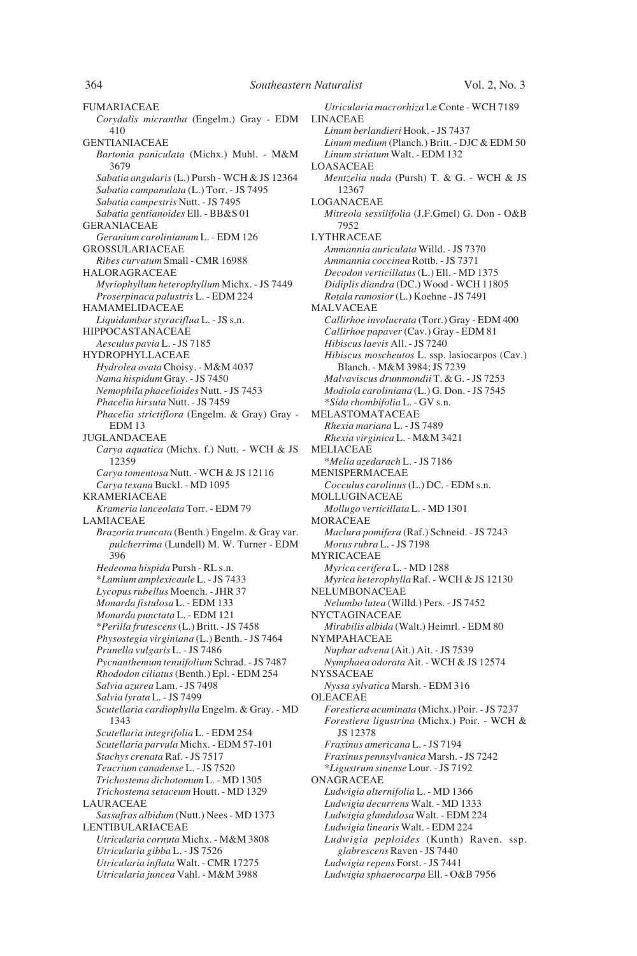FUMARIACEAE *Corydalis micrantha* (Engelm.) Gray - EDM 410 GENTIANIACEAE *Bartonia paniculata* (Michx.) Muhl. - M&M 3679 *Sabatia angularis* (L.) Pursh - WCH & JS 12364 *Sabatia campanulata* (L.) Torr. - JS 7495 *Sabatia campestris* Nutt. - JS 7495 *Sabatia gentianoides* Ell. - BB&S 01 GERANIACEAE *Geranium carolinianum* L. - EDM 126 GROSSULARIACEAE *Ribes curvatum* Small - CMR 16988 HALORAGRACEAE *Myriophyllum heterophyllum* Michx. - JS 7449 *Proserpinaca palustris* L. - EDM 224 HAMAMELIDACEAE *Liquidambarstyraciflua* L. - JS s.n. HIPPOCASTANACEAE *Aesculus pavia* L. - JS 7185 HYDROPHYLLACEAE *Hydrolea ovata* Choisy. - M&M 4037 *Nama hispidum* Gray. - JS 7450 *Nemophila phacelioides* Nutt. - JS 7453 *Phacelia hirsuta* Nutt. - JS 7459 *Phacelia strictiflora* (Engelm. & Gray) Gray - EDM 13 JUGLANDACEAE *Carya aquatica* (Michx. f.) Nutt. - WCH & JS 12359 *Carya tomentosa* Nutt. - WCH & JS 12116 *Carya texana* Buckl. - MD 1095 KRAMERIACEAE *Krameria lanceolata* Torr. - EDM 79 LAMIACEAE *Brazoria truncata* (Benth.) Engelm. & Gray var. *pulcherrima* (Lundell) M. W. Turner - EDM 396 *Hedeoma hispida* Pursh - RL s.n. \**Lamium amplexicaule* L. - JS 7433 *Lycopusrubellus* Moench. - JHR 37 *Monarda fistulosa* L. - EDM 133 *Monarda punctata* L. - EDM 121 \**Perilla frutescens*(L.) Britt. - JS 7458 *Physostegia virginiana* (L.) Benth. - JS 7464 *Prunella vulgaris* L. - JS 7486 *Pycnanthemum tenuifolium* Schrad. - JS 7487 *Rhododon ciliatus*(Benth.) Epl. - EDM 254 *Salvia azurea* Lam. - JS 7498 *Salvia lyrata* L. - JS 7499 *Scutellaria cardiophylla* Engelm. & Gray. - MD 1343 *Scutellaria integrifolia* L. - EDM 254 *Scutellaria parvula* Michx. - EDM 57-101 *Stachys crenata* Raf. - JS 7517 *Teucrium canadense* L. - JS 7520 *Trichostema dichotomum* L. - MD 1305 *Trichostema setaceum* Houtt. - MD 1329 LAURACEAE *Sassafras albidum* (Nutt.) Nees - MD 1373 LENTIBULARIACEAE *Utricularia cornuta* Michx. - M&M 3808 *Utricularia gibba* L. - JS 7526 *Utricularia inflata* Walt. - CMR 17275 *Utricularia juncea* Vahl. - M&M 3988

*Utricularia macrorhiza* Le Conte - WCH 7189 LINACEAE *Linum berlandieri* Hook. - JS 7437 *Linum medium* (Planch.) Britt. - DJC & EDM 50 *Linum striatum* Walt. - EDM 132 LOASACEAE *Mentzelia nuda* (Pursh) T. & G. - WCH & JS 12367 LOGANACEAE *Mitreola sessilifolia* (J.F.Gmel) G. Don - O&B 7952 **LYTHRACEAE** *Ammannia auriculata* Willd. - JS 7370 *Ammannia coccinea* Rottb. - JS 7371 *Decodon verticillatus*(L.) Ell. - MD 1375 *Didiplis diandra* (DC.) Wood - WCH 11805 *Rotala ramosior*(L.) Koehne - JS 7491 MALVACEAE *Callirhoe involucrata* (Torr.) Gray - EDM 400 *Callirhoe papaver*(Cav.) Gray - EDM 81 *Hibiscus laevis* All. - JS 7240 *Hibiscus moscheutos* L. ssp. lasiocarpos (Cav.) Blanch. - M&M 3984; JS 7239 *Malvaviscus drummondii* T. & G. - JS 7253 *Modiola caroliniana* (L.) G. Don. - JS 7545 \**Sida rhombifolia* L. - GV s.n. MELASTOMATACEAE *Rhexia mariana* L. - JS 7489 *Rhexia virginica* L. - M&M 3421 MELIACEAE \**Melia azedarach* L. - JS 7186 MENISPERMACEAE *Cocculus carolinus* (L.) DC. - EDM s.n. MOLLUGINACEAE *Mollugo verticillata* L. - MD 1301 MORACEAE *Maclura pomifera* (Raf.) Schneid. - JS 7243 *Morusrubra* L. - JS 7198 **MYRICACEAE** *Myrica cerifera* L. - MD 1288 *Myrica heterophylla* Raf. - WCH & JS 12130 NELUMBONACEAE *Nelumbo lutea* (Willd.) Pers. - JS 7452 NYCTAGINACEAE *Mirabilis albida* (Walt.) Heimrl. - EDM 80 NYMPAHACEAE *Nuphar advena* (Ait.) Ait. - JS 7539 *Nymphaea odorata* Ait. - WCH & JS 12574 NYSSACEAE *Nyssa sylvatica* Marsh. - EDM 316 OLEACEAE *Forestiera acuminata* (Michx.) Poir. - JS 7237 *Forestiera ligustrina* (Michx.) Poir. - WCH & JS 12378 *Fraxinus americana* L. - JS 7194 *Fraxinus pennsylvanica* Marsh. - JS 7242 \**Ligustrum sinense* Lour. - JS 7192 ONAGRACEAE *Ludwigia alternifolia* L. - MD 1366 *Ludwigia decurrens* Walt. - MD 1333 *Ludwigia glandulosa* Walt. - EDM 224 *Ludwigia linearis* Walt. - EDM 224 *Ludwigia peploides* (Kunth) Raven. ssp. *glabrescens* Raven - JS 7440 *Ludwigia repens* Forst. - JS 7441 *Ludwigia sphaerocarpa* Ell. - O&B 7956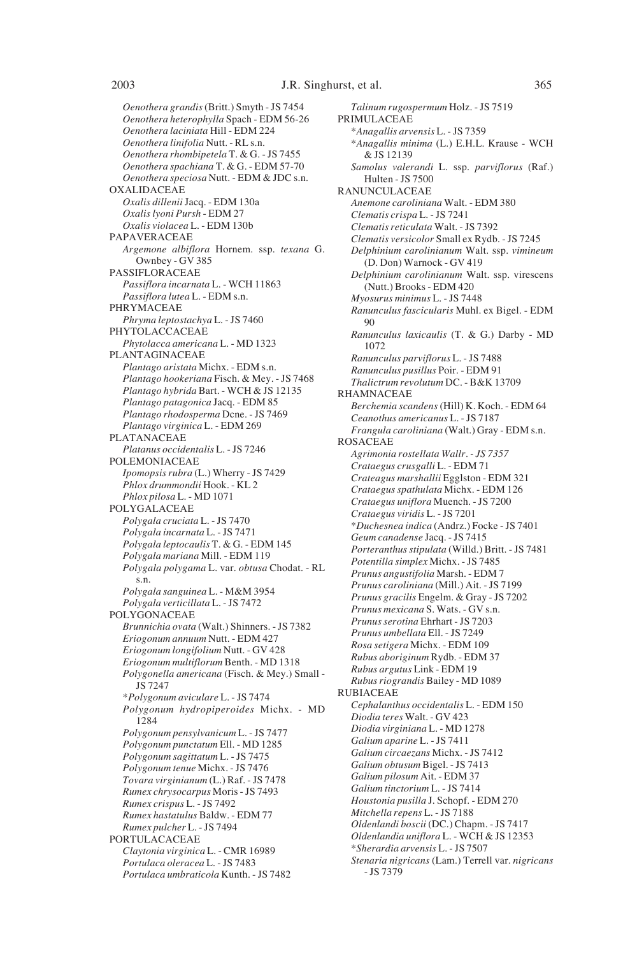*Oenothera grandis*(Britt.) Smyth - JS 7454 *Oenothera heterophylla* Spach - EDM 56-26 *Oenothera laciniata* Hill - EDM 224 *Oenothera linifolia* Nutt. - RL s.n. *Oenothera rhombipetela* T. & G. - JS 7455 *Oenothera spachiana* T. & G. - EDM 57-70 *Oenothera speciosa* Nutt. - EDM & JDC s.n. OXALIDACEAE *Oxalis dillenii*Jacq. - EDM 130a *Oxalis lyoni Pursh* - EDM 27 *Oxalis violacea* L. - EDM 130b PAPAVERACEAE *Argemone albiflora* Hornem. ssp. *texana* G. Ownbey - GV 385 PASSIFLORACEAE *Passiflora incarnata* L. - WCH 11863 *Passiflora lutea* L. - EDM s.n. PHRYMACEAE *Phryma leptostachya* L. - JS 7460 PHYTOLACCACEAE *Phytolacca americana* L. - MD 1323 PLANTAGINACEAE *Plantago aristata* Michx. - EDM s.n. *Plantago hookeriana* Fisch. & Mey. - JS 7468 *Plantago hybrida* Bart. - WCH & JS 12135 *Plantago patagonica* Jacq. - EDM 85 *Plantago rhodosperma* Dcne. - JS 7469 *Plantago virginica* L. - EDM 269 PLATANACEAE *Platanus occidentalis* L. - JS 7246 POLEMONIACEAE *Ipomopsisrubra* (L.) Wherry - JS 7429 *Phlox drummondii* Hook. - KL 2 *Phlox pilosa* L. - MD 1071 POLYGALACEAE *Polygala cruciata* L. - JS 7470 *Polygala incarnata* L. - JS 7471 *Polygala leptocaulis* T. & G. - EDM 145 *Polygala mariana* Mill. - EDM 119 *Polygala polygama* L. var. *obtusa* Chodat. - RL s.n. *Polygala sanguinea* L. - M&M 3954 *Polygala verticillata* L. - JS 7472 POLYGONACEAE *Brunnichia ovata* (Walt.) Shinners. - JS 7382 *Eriogonum annuum* Nutt. - EDM 427 *Eriogonum longifolium* Nutt. - GV 428 *Eriogonum multiflorum* Benth. - MD 1318 *Polygonella americana* (Fisch. & Mey.) Small - JS 7247 \**Polygonum aviculare* L. - JS 7474 *Polygonum hydropiperoides* Michx. - MD 1284 *Polygonum pensylvanicum* L. - JS 7477 *Polygonum punctatum* Ell. - MD 1285 *Polygonum sagittatum* L. - JS 7475 *Polygonum tenue* Michx. - JS 7476 *Tovara virginianum* (L.) Raf. - JS 7478 *Rumex chrysocarpus* Moris - JS 7493 *Rumex crispus* L. - JS 7492 *Rumex hastatulus* Baldw. - EDM 77 *Rumex pulcher* L. - JS 7494 PORTULACACEAE *Claytonia virginica* L. - CMR 16989 *Portulaca oleracea* L. - JS 7483 *Portulaca umbraticola* Kunth. - JS 7482

PRIMULACEAE \**Anagallis arvensis* L. - JS 7359 \**Anagallis minima* (L.) E.H.L. Krause - WCH & JS 12139 *Samolus valerandi* L. ssp. *parviflorus* (Raf.) Hulten - JS 7500 RANUNCULACEAE *Anemone caroliniana* Walt. - EDM 380 *Clematis crispa* L. - JS 7241 *Clematisreticulata* Walt. - JS 7392 *Clematis versicolor* Small ex Rydb. - JS 7245 *Delphinium carolinianum* Walt. ssp. *vimineum* (D. Don) Warnock - GV 419 *Delphinium carolinianum* Walt. ssp. virescens (Nutt.) Brooks - EDM 420 *Myosurus minimus* L. - JS 7448 *Ranunculus fascicularis* Muhl. ex Bigel. - EDM 90 *Ranunculus laxicaulis* (T. & G.) Darby - MD 1072 *Ranunculus parviflorus* L. - JS 7488 *Ranunculus pusillus* Poir. - EDM 91 *Thalictrum revolutum* DC. - B&K 13709 RHAMNACEAE *Berchemia scandens* (Hill) K. Koch. - EDM 64 *Ceanothus americanus* L. - JS 7187 *Frangula caroliniana* (Walt.) Gray - EDM s.n. ROSACEAE *Agrimonia rostellata Wallr. - JS 7357 Crataegus crusgalli* L. - EDM 71 *Crateagus marshallii* Egglston - EDM 321 *Crataegusspathulata* Michx. - EDM 126 *Crataegus uniflora* Muench. - JS 7200 *Crataegus viridis* L. - JS 7201 \**Duchesnea indica* (Andrz.) Focke - JS 7401 *Geum canadense* Jacq. - JS 7415 *Porteranthusstipulata* (Willd.) Britt. - JS 7481 *Potentilla simplex* Michx. - JS 7485 *Prunus angustifolia* Marsh. - EDM 7 *Prunus caroliniana* (Mill.) Ait. - JS 7199 *Prunus gracilis* Engelm. & Gray - JS 7202 *Prunus mexicana* S. Wats. - GV s.n. *Prunus serotina* Ehrhart - JS 7203 *Prunus umbellata* Ell. - JS 7249 *Rosa setigera* Michx. - EDM 109 *Rubus aboriginum* Rydb. - EDM 37 *Rubus argutus* Link - EDM 19 *Rubusriograndis* Bailey - MD 1089 RUBIACEAE *Cephalanthus occidentalis* L. - EDM 150 *Diodia teres* Walt. - GV 423 *Diodia virginiana* L. - MD 1278 *Galium aparine* L. - JS 7411 *Galium circaezans* Michx. - JS 7412 *Galium obtusum* Bigel. - JS 7413 *Galium pilosum* Ait. - EDM 37 *Galium tinctorium* L. - JS 7414 *Houstonia pusilla* J. Schopf. - EDM 270 *Mitchella repens* L. - JS 7188 *Oldenlandi boscii* (DC.) Chapm. - JS 7417 *Oldenlandia uniflora* L. - WCH & JS 12353 \**Sherardia arvensis* L. - JS 7507 *Stenaria nigricans* (Lam.) Terrell var. *nigricans* - JS 7379

*Talinum rugospermum* Holz. - JS 7519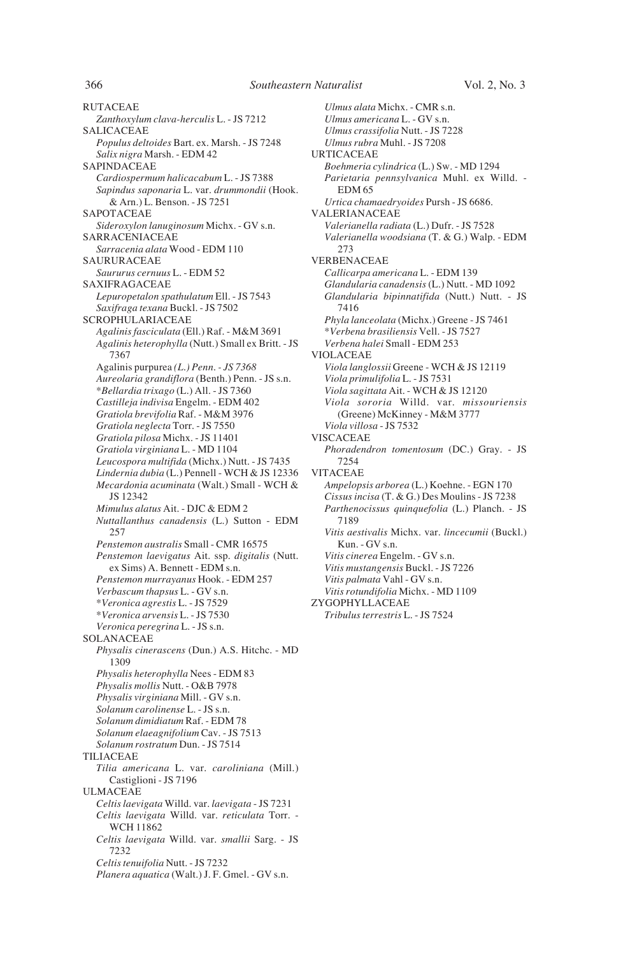RUTACEAE *Zanthoxylum clava-herculis* L. - JS 7212 SALICACEAE *Populus deltoides* Bart. ex. Marsh. - JS 7248 *Salix nigra* Marsh. - EDM 42 SAPINDACEAE *Cardiospermum halicacabum* L. - JS 7388 *Sapindus saponaria* L. var. *drummondii* (Hook. & Arn.) L. Benson. - JS 7251 SAPOTACEAE *Sideroxylon lanuginosum* Michx. - GV s.n. SARRACENIACEAE *Sarracenia alata* Wood - EDM 110 SAURURACEAE *Saururus cernuus* L. - EDM 52 SAXIFRAGACEAE *Lepuropetalon spathulatum* Ell. - JS 7543 *Saxifraga texana* Buckl. - JS 7502 SCROPHULARIACEAE *Agalinisfasciculata* (Ell.) Raf. - M&M 3691 *Agalinis heterophylla* (Nutt.) Small ex Britt. - JS 7367 Agalinis purpurea *(L.) Penn. - JS 7368 Aureolaria grandiflora* (Benth.) Penn. - JS s.n. \**Bellardia trixago* (L.) All. - JS 7360 *Castilleja indivisa* Engelm. - EDM 402 *Gratiola brevifolia* Raf. - M&M 3976 *Gratiola neglecta* Torr. - JS 7550 *Gratiola pilosa* Michx. - JS 11401 *Gratiola virginiana* L. - MD 1104 *Leucospora multifida* (Michx.) Nutt. - JS 7435 *Lindernia dubia* (L.) Pennell - WCH & JS 12336 *Mecardonia acuminata* (Walt.) Small - WCH & JS 12342 *Mimulus alatus* Ait. - DJC & EDM 2 *Nuttallanthus canadensis* (L.) Sutton - EDM 257 *Penstemon australis* Small - CMR 16575 *Penstemon laevigatus* Ait. ssp. *digitalis* (Nutt. ex Sims) A. Bennett - EDM s.n. *Penstemon murrayanus* Hook. - EDM 257 *Verbascum thapsus* L. - GV s.n. \**Veronica agrestis* L. - JS 7529 \**Veronica arvensis* L. - JS 7530 *Veronica peregrina* L. - JS s.n. SOLANACEAE *Physalis cinerascens* (Dun.) A.S. Hitchc. - MD 1309 *Physalis heterophylla* Nees - EDM 83 *Physalis mollis* Nutt. - O&B 7978 *Physalis virginiana* Mill. - GV s.n. *Solanum carolinense* L. - JS s.n. *Solanum dimidiatum* Raf. - EDM 78 *Solanum elaeagnifolium* Cav. - JS 7513 *Solanum rostratum* Dun. - JS 7514 TILIACEAE *Tilia americana* L. var. *caroliniana* (Mill.) Castiglioni - JS 7196 ULMACEAE *Celtislaevigata* Willd. var. *laevigata* - JS 7231 *Celtis laevigata* Willd. var. *reticulata* Torr. - WCH 11862 *Celtis laevigata* Willd. var. *smallii* Sarg. - JS 7232 *Celtistenuifolia* Nutt. - JS 7232

*Planera aquatica* (Walt.) J. F. Gmel. - GV s.n.

*Ulmus alata* Michx. - CMR s.n. *Ulmus americana* L. - GV s.n. *Ulmus crassifolia* Nutt. - JS 7228 *Ulmusrubra* Muhl. - JS 7208 URTICACEAE *Boehmeria cylindrica* (L.) Sw. - MD 1294 *Parietaria pennsylvanica* Muhl. ex Willd. - EDM 65 *Urtica chamaedryoides* Pursh - JS 6686. VALERIANACEAE *Valerianella radiata* (L.) Dufr. - JS 7528 *Valerianella woodsiana* (T. & G.) Walp. - EDM 273 VERBENACEAE *Callicarpa americana* L. - EDM 139 *Glandularia canadensis*(L.) Nutt. - MD 1092 *Glandularia bipinnatifida* (Nutt.) Nutt. - JS 7416 *Phyla lanceolata* (Michx.) Greene - JS 7461 \**Verbena brasiliensis* Vell. - JS 7527 *Verbena halei* Small - EDM 253 VIOLACEAE *Viola langlossii* Greene - WCH & JS 12119 *Viola primulifolia* L. - JS 7531 *Viola sagittata* Ait. - WCH & JS 12120 *Viola sororia* Willd. var. *missouriensis* (Greene) McKinney - M&M 3777 *Viola villosa* - JS 7532 **VISCACEAE** *Phoradendron tomentosum* (DC.) Gray. - JS 7254 VITACEAE *Ampelopsis arborea* (L.) Koehne. - EGN 170 *Cissusincisa* (T. & G.) Des Moulins - JS 7238 *Parthenocissus quinquefolia* (L.) Planch. - JS 7189 *Vitis aestivalis* Michx. var. *lincecumii* (Buckl.) Kun. - GV s.n. *Vitis cinerea* Engelm. - GV s.n. *Vitis mustangensis* Buckl. - JS 7226 *Vitis palmata* Vahl - GV s.n. *Vitisrotundifolia* Michx. - MD 1109 ZYGOPHYLLACEAE *Tribulusterrestris* L. - JS 7524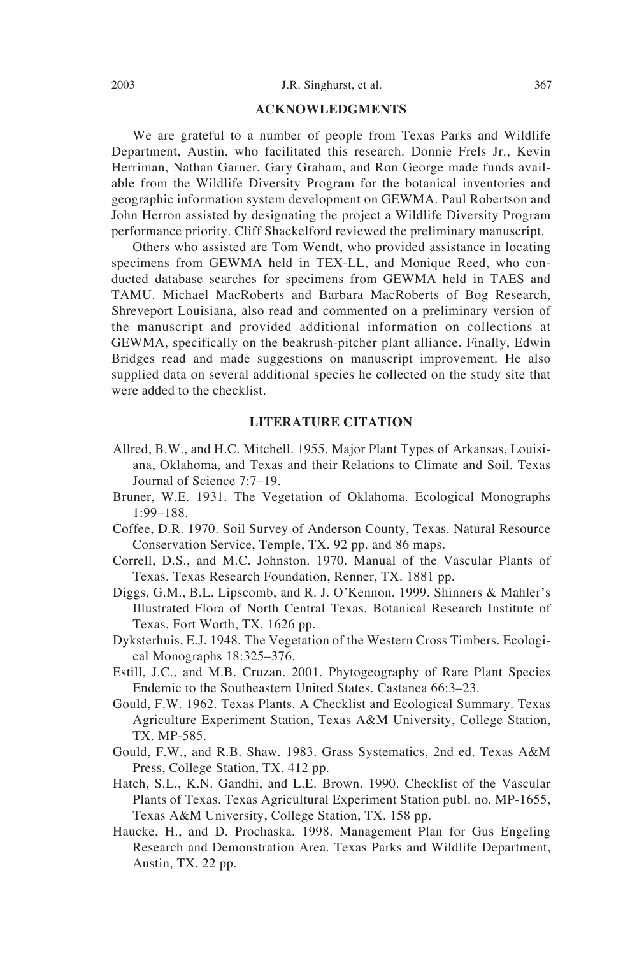#### **ACKNOWLEDGMENTS**

We are grateful to a number of people from Texas Parks and Wildlife Department, Austin, who facilitated this research. Donnie Frels Jr., Kevin Herriman, Nathan Garner, Gary Graham, and Ron George made funds available from the Wildlife Diversity Program for the botanical inventories and geographic information system development on GEWMA. Paul Robertson and John Herron assisted by designating the project a Wildlife Diversity Program performance priority. Cliff Shackelford reviewed the preliminary manuscript.

Others who assisted are Tom Wendt, who provided assistance in locating specimens from GEWMA held in TEX-LL, and Monique Reed, who conducted database searches for specimens from GEWMA held in TAES and TAMU. Michael MacRoberts and Barbara MacRoberts of Bog Research, Shreveport Louisiana, also read and commented on a preliminary version of the manuscript and provided additional information on collections at GEWMA, specifically on the beakrush-pitcher plant alliance. Finally, Edwin Bridges read and made suggestions on manuscript improvement. He also supplied data on several additional species he collected on the study site that were added to the checklist.

#### **LITERATURE CITATION**

- Allred, B.W., and H.C. Mitchell. 1955. Major Plant Types of Arkansas, Louisiana, Oklahoma, and Texas and their Relations to Climate and Soil. Texas Journal of Science 7:7-19.
- Bruner, W.E. 1931. The Vegetation of Oklahoma. Ecological Monographs 1:99-188.
- Coffee, D.R. 1970. Soil Survey of Anderson County, Texas. Natural Resource Conservation Service, Temple, TX. 92 pp. and 86 maps.
- Correll, D.S., and M.C. Johnston. 1970. Manual of the Vascular Plants of Texas. Texas Research Foundation, Renner, TX. 1881 pp.
- Diggs, G.M., B.L. Lipscomb, and R. J. O'Kennon. 1999. Shinners & Mahler's Illustrated Flora of North Central Texas. Botanical Research Institute of Texas, Fort Worth, TX. 1626 pp.
- Dyksterhuis, E.J. 1948. The Vegetation of the Western Cross Timbers. Ecological Monographs  $18:325-376$ .
- Estill, J.C., and M.B. Cruzan. 2001. Phytogeography of Rare Plant Species Endemic to the Southeastern United States. Castanea 66:3–23.
- Gould, F.W. 1962. Texas Plants. A Checklist and Ecological Summary. Texas Agriculture Experiment Station, Texas A&M University, College Station, TX. MP-585.
- Gould, F.W., and R.B. Shaw. 1983. Grass Systematics, 2nd ed. Texas A&M Press, College Station, TX. 412 pp.
- Hatch, S.L., K.N. Gandhi, and L.E. Brown. 1990. Checklist of the Vascular Plants of Texas. Texas Agricultural Experiment Station publ. no. MP-1655, Texas A&M University, College Station, TX. 158 pp.
- Haucke, H., and D. Prochaska. 1998. Management Plan for Gus Engeling Research and Demonstration Area. Texas Parks and Wildlife Department, Austin, TX. 22 pp.